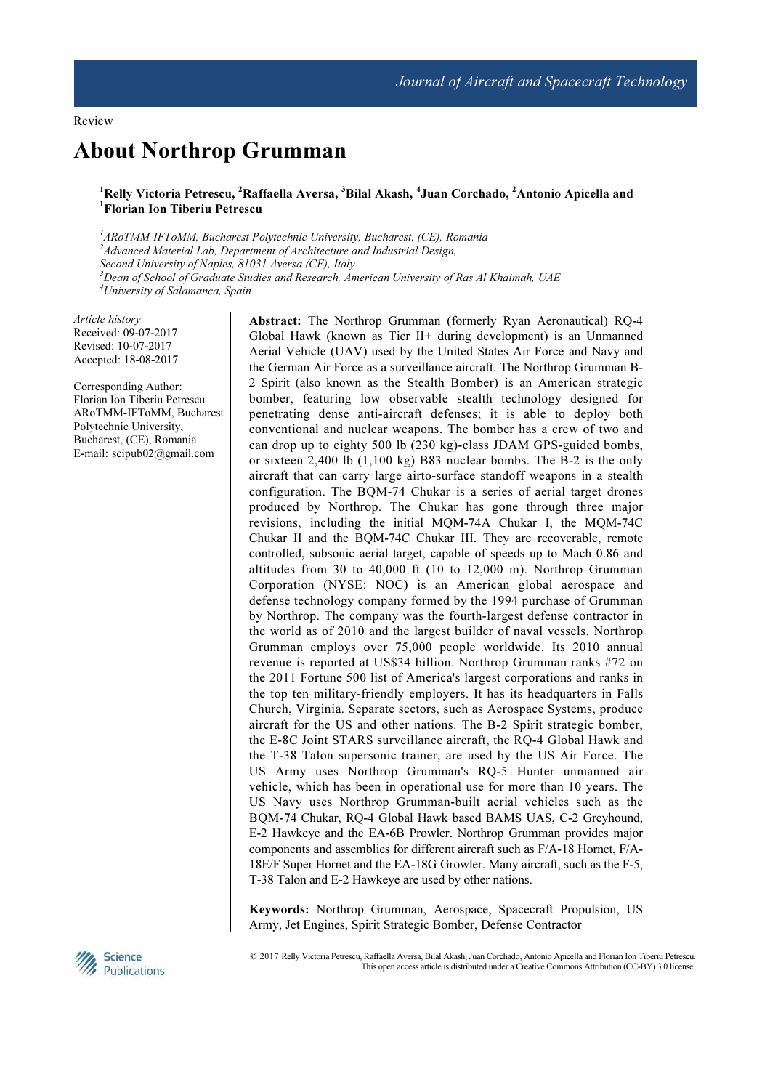# About Northrop Grumman

 $^1$ Relly Victoria Petrescu,  $^2$ Raffaella Aversa,  $^3$ Bilal Akash,  $^4$ Juan Corchado,  $^2$ Antonio Apicella and <sup>1</sup>Florian Ion Tiberiu Petrescu

<sup>1</sup>ARoTMM-IFToMM, Bucharest Polytechnic University, Bucharest, (CE), Romania <sup>2</sup>Advanced Material Lab, Department of Architecture and Industrial Design, Second University of Naples, 81031 Aversa (CE), Italy  $3$ Dean of School of Graduate Studies and Research, American University of Ras Al Khaimah, UAE <sup>4</sup>University of Salamanca, Spain

Article history Received: 09-07-2017 Revised: 10-07-2017 Accepted: 18-08-2017

Corresponding Author: Florian Ion Tiberiu Petrescu ARoTMM-IFToMM, Bucharest Polytechnic University, Bucharest, (CE), Romania E-mail: scipub02@gmail.com

Abstract: The Northrop Grumman (formerly Ryan Aeronautical) RQ-4 Global Hawk (known as Tier II+ during development) is an Unmanned Aerial Vehicle (UAV) used by the United States Air Force and Navy and the German Air Force as a surveillance aircraft. The Northrop Grumman B-2 Spirit (also known as the Stealth Bomber) is an American strategic bomber, featuring low observable stealth technology designed for penetrating dense anti-aircraft defenses; it is able to deploy both conventional and nuclear weapons. The bomber has a crew of two and can drop up to eighty 500 lb (230 kg)-class JDAM GPS-guided bombs, or sixteen 2,400 lb (1,100 kg) B83 nuclear bombs. The B-2 is the only aircraft that can carry large airto-surface standoff weapons in a stealth configuration. The BQM-74 Chukar is a series of aerial target drones produced by Northrop. The Chukar has gone through three major revisions, including the initial MQM-74A Chukar I, the MQM-74C Chukar II and the BQM-74C Chukar III. They are recoverable, remote controlled, subsonic aerial target, capable of speeds up to Mach 0.86 and altitudes from 30 to 40,000 ft (10 to 12,000 m). Northrop Grumman Corporation (NYSE: NOC) is an American global aerospace and defense technology company formed by the 1994 purchase of Grumman by Northrop. The company was the fourth-largest defense contractor in the world as of 2010 and the largest builder of naval vessels. Northrop Grumman employs over 75,000 people worldwide. Its 2010 annual revenue is reported at US\$34 billion. Northrop Grumman ranks #72 on the 2011 Fortune 500 list of America's largest corporations and ranks in the top ten military-friendly employers. It has its headquarters in Falls Church, Virginia. Separate sectors, such as Aerospace Systems, produce aircraft for the US and other nations. The B-2 Spirit strategic bomber, the E-8C Joint STARS surveillance aircraft, the RQ-4 Global Hawk and the T-38 Talon supersonic trainer, are used by the US Air Force. The US Army uses Northrop Grumman's RQ-5 Hunter unmanned air vehicle, which has been in operational use for more than 10 years. The US Navy uses Northrop Grumman-built aerial vehicles such as the BQM-74 Chukar, RQ-4 Global Hawk based BAMS UAS, C-2 Greyhound, E-2 Hawkeye and the EA-6B Prowler. Northrop Grumman provides major components and assemblies for different aircraft such as F/A-18 Hornet, F/A-18E/F Super Hornet and the EA-18G Growler. Many aircraft, such as the F-5, T-38 Talon and E-2 Hawkeye are used by other nations.

Keywords: Northrop Grumman, Aerospace, Spacecraft Propulsion, US Army, Jet Engines, Spirit Strategic Bomber, Defense Contractor



 © 2017 Relly Victoria Petrescu, Raffaella Aversa, Bilal Akash, Juan Corchado, Antonio Apicella and Florian Ion Tiberiu Petrescu. This open access article is distributed under a Creative Commons Attribution (CC-BY) 3.0 license.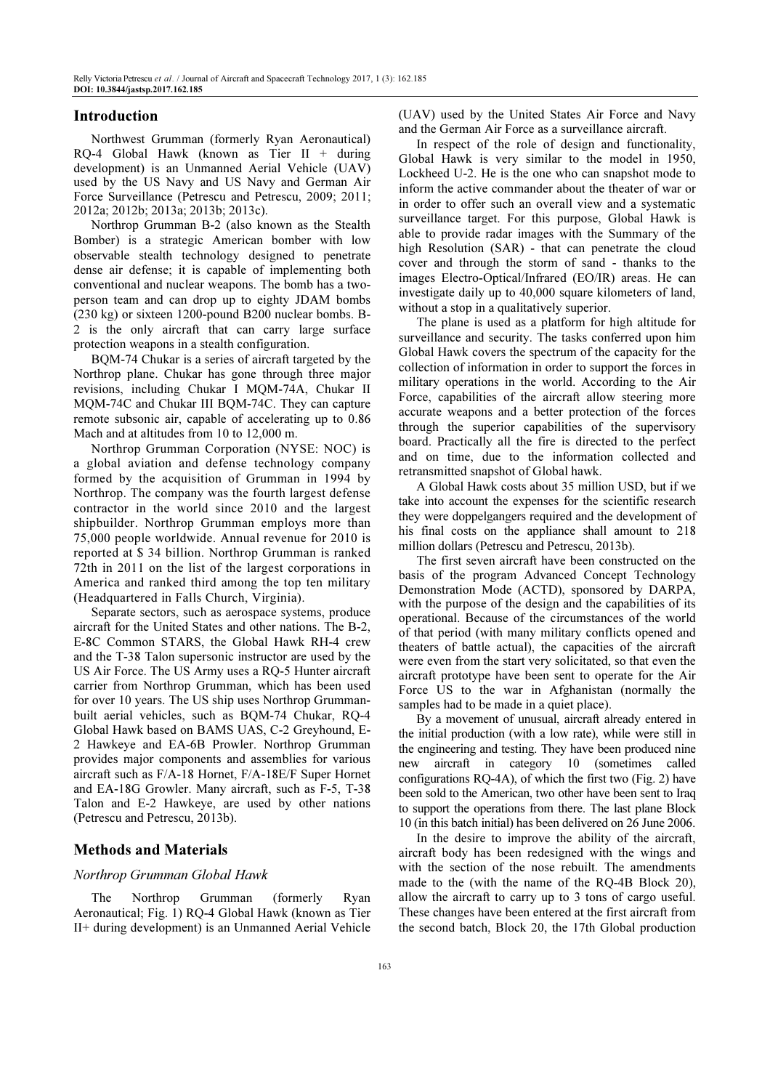# Introduction

Northwest Grumman (formerly Ryan Aeronautical) RQ-4 Global Hawk (known as Tier II + during development) is an Unmanned Aerial Vehicle (UAV) used by the US Navy and US Navy and German Air Force Surveillance (Petrescu and Petrescu, 2009; 2011; 2012a; 2012b; 2013a; 2013b; 2013c).

Northrop Grumman B-2 (also known as the Stealth Bomber) is a strategic American bomber with low observable stealth technology designed to penetrate dense air defense; it is capable of implementing both conventional and nuclear weapons. The bomb has a twoperson team and can drop up to eighty JDAM bombs (230 kg) or sixteen 1200-pound B200 nuclear bombs. B-2 is the only aircraft that can carry large surface protection weapons in a stealth configuration.

BQM-74 Chukar is a series of aircraft targeted by the Northrop plane. Chukar has gone through three major revisions, including Chukar I MQM-74A, Chukar II MQM-74C and Chukar III BQM-74C. They can capture remote subsonic air, capable of accelerating up to 0.86 Mach and at altitudes from 10 to 12,000 m.

Northrop Grumman Corporation (NYSE: NOC) is a global aviation and defense technology company formed by the acquisition of Grumman in 1994 by Northrop. The company was the fourth largest defense contractor in the world since 2010 and the largest shipbuilder. Northrop Grumman employs more than 75,000 people worldwide. Annual revenue for 2010 is reported at \$ 34 billion. Northrop Grumman is ranked 72th in 2011 on the list of the largest corporations in America and ranked third among the top ten military (Headquartered in Falls Church, Virginia).

Separate sectors, such as aerospace systems, produce aircraft for the United States and other nations. The B-2, E-8C Common STARS, the Global Hawk RH-4 crew and the T-38 Talon supersonic instructor are used by the US Air Force. The US Army uses a RQ-5 Hunter aircraft carrier from Northrop Grumman, which has been used for over 10 years. The US ship uses Northrop Grummanbuilt aerial vehicles, such as BQM-74 Chukar, RQ-4 Global Hawk based on BAMS UAS, C-2 Greyhound, E-2 Hawkeye and EA-6B Prowler. Northrop Grumman provides major components and assemblies for various aircraft such as F/A-18 Hornet, F/A-18E/F Super Hornet and EA-18G Growler. Many aircraft, such as F-5, T-38 Talon and E-2 Hawkeye, are used by other nations (Petrescu and Petrescu, 2013b).

# Methods and Materials

# Northrop Grumman Global Hawk

The Northrop Grumman (formerly Ryan Aeronautical; Fig. 1) RQ-4 Global Hawk (known as Tier II+ during development) is an Unmanned Aerial Vehicle (UAV) used by the United States Air Force and Navy and the German Air Force as a surveillance aircraft.

In respect of the role of design and functionality, Global Hawk is very similar to the model in 1950, Lockheed U-2. He is the one who can snapshot mode to inform the active commander about the theater of war or in order to offer such an overall view and a systematic surveillance target. For this purpose, Global Hawk is able to provide radar images with the Summary of the high Resolution (SAR) - that can penetrate the cloud cover and through the storm of sand - thanks to the images Electro-Optical/Infrared (EO/IR) areas. He can investigate daily up to 40,000 square kilometers of land, without a stop in a qualitatively superior.

The plane is used as a platform for high altitude for surveillance and security. The tasks conferred upon him Global Hawk covers the spectrum of the capacity for the collection of information in order to support the forces in military operations in the world. According to the Air Force, capabilities of the aircraft allow steering more accurate weapons and a better protection of the forces through the superior capabilities of the supervisory board. Practically all the fire is directed to the perfect and on time, due to the information collected and retransmitted snapshot of Global hawk.

A Global Hawk costs about 35 million USD, but if we take into account the expenses for the scientific research they were doppelgangers required and the development of his final costs on the appliance shall amount to 218 million dollars (Petrescu and Petrescu, 2013b).

The first seven aircraft have been constructed on the basis of the program Advanced Concept Technology Demonstration Mode (ACTD), sponsored by DARPA, with the purpose of the design and the capabilities of its operational. Because of the circumstances of the world of that period (with many military conflicts opened and theaters of battle actual), the capacities of the aircraft were even from the start very solicitated, so that even the aircraft prototype have been sent to operate for the Air Force US to the war in Afghanistan (normally the samples had to be made in a quiet place).

By a movement of unusual, aircraft already entered in the initial production (with a low rate), while were still in the engineering and testing. They have been produced nine new aircraft in category 10 (sometimes called configurations RQ-4A), of which the first two (Fig. 2) have been sold to the American, two other have been sent to Iraq to support the operations from there. The last plane Block 10 (in this batch initial) has been delivered on 26 June 2006.

In the desire to improve the ability of the aircraft, aircraft body has been redesigned with the wings and with the section of the nose rebuilt. The amendments made to the (with the name of the RQ-4B Block 20), allow the aircraft to carry up to 3 tons of cargo useful. These changes have been entered at the first aircraft from the second batch, Block 20, the 17th Global production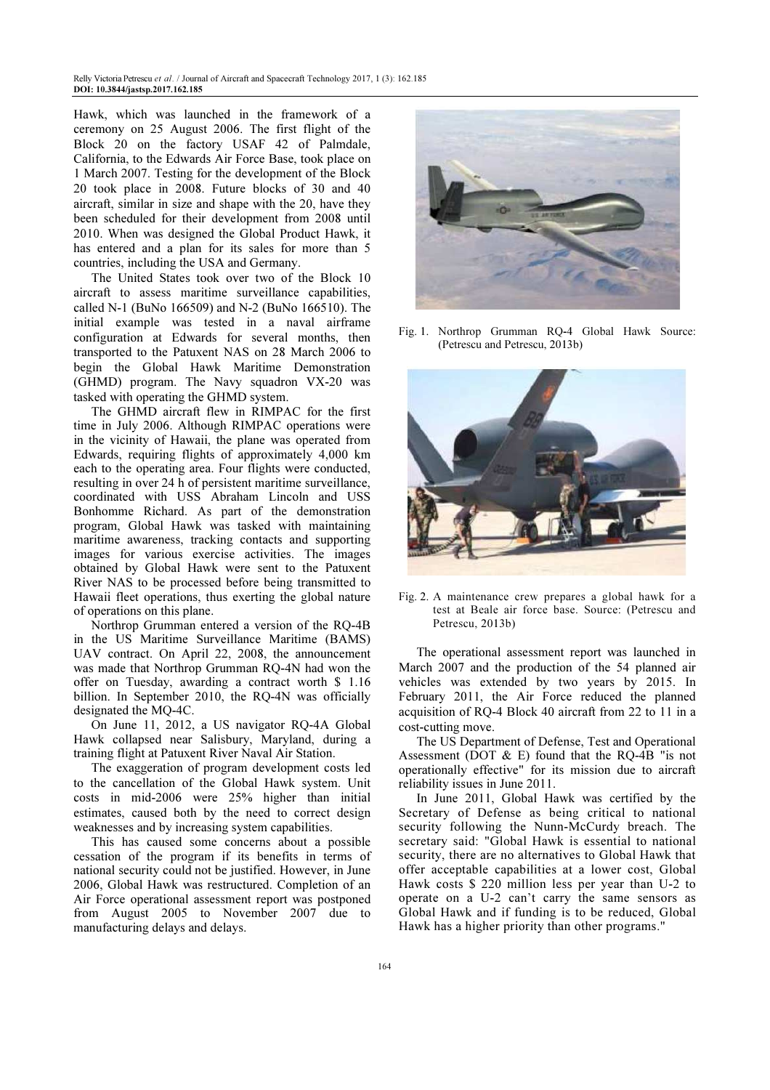Hawk, which was launched in the framework of a ceremony on 25 August 2006. The first flight of the Block 20 on the factory USAF 42 of Palmdale, California, to the Edwards Air Force Base, took place on 1 March 2007. Testing for the development of the Block 20 took place in 2008. Future blocks of 30 and 40 aircraft, similar in size and shape with the 20, have they been scheduled for their development from 2008 until 2010. When was designed the Global Product Hawk, it has entered and a plan for its sales for more than 5 countries, including the USA and Germany.

The United States took over two of the Block 10 aircraft to assess maritime surveillance capabilities, called N-1 (BuNo 166509) and N-2 (BuNo 166510). The initial example was tested in a naval airframe configuration at Edwards for several months, then transported to the Patuxent NAS on 28 March 2006 to begin the Global Hawk Maritime Demonstration (GHMD) program. The Navy squadron VX-20 was tasked with operating the GHMD system.

The GHMD aircraft flew in RIMPAC for the first time in July 2006. Although RIMPAC operations were in the vicinity of Hawaii, the plane was operated from Edwards, requiring flights of approximately 4,000 km each to the operating area. Four flights were conducted, resulting in over 24 h of persistent maritime surveillance, coordinated with USS Abraham Lincoln and USS Bonhomme Richard. As part of the demonstration program, Global Hawk was tasked with maintaining maritime awareness, tracking contacts and supporting images for various exercise activities. The images obtained by Global Hawk were sent to the Patuxent River NAS to be processed before being transmitted to Hawaii fleet operations, thus exerting the global nature of operations on this plane.

Northrop Grumman entered a version of the RQ-4B in the US Maritime Surveillance Maritime (BAMS) UAV contract. On April 22, 2008, the announcement was made that Northrop Grumman RQ-4N had won the offer on Tuesday, awarding a contract worth \$ 1.16 billion. In September 2010, the RQ-4N was officially designated the MQ-4C.

On June 11, 2012, a US navigator RQ-4A Global Hawk collapsed near Salisbury, Maryland, during a training flight at Patuxent River Naval Air Station.

The exaggeration of program development costs led to the cancellation of the Global Hawk system. Unit costs in mid-2006 were 25% higher than initial estimates, caused both by the need to correct design weaknesses and by increasing system capabilities.

This has caused some concerns about a possible cessation of the program if its benefits in terms of national security could not be justified. However, in June 2006, Global Hawk was restructured. Completion of an Air Force operational assessment report was postponed from August 2005 to November 2007 due to manufacturing delays and delays.



Fig. 1. Northrop Grumman RQ-4 Global Hawk Source: (Petrescu and Petrescu, 2013b)



Fig. 2. A maintenance crew prepares a global hawk for a test at Beale air force base. Source: (Petrescu and Petrescu, 2013b)

The operational assessment report was launched in March 2007 and the production of the 54 planned air vehicles was extended by two years by 2015. In February 2011, the Air Force reduced the planned acquisition of RQ-4 Block 40 aircraft from 22 to 11 in a cost-cutting move.

The US Department of Defense, Test and Operational Assessment (DOT  $\&$  E) found that the RQ-4B "is not operationally effective" for its mission due to aircraft reliability issues in June 2011.

In June 2011, Global Hawk was certified by the Secretary of Defense as being critical to national security following the Nunn-McCurdy breach. The secretary said: "Global Hawk is essential to national security, there are no alternatives to Global Hawk that offer acceptable capabilities at a lower cost, Global Hawk costs \$ 220 million less per year than U-2 to operate on a U-2 can't carry the same sensors as Global Hawk and if funding is to be reduced, Global Hawk has a higher priority than other programs."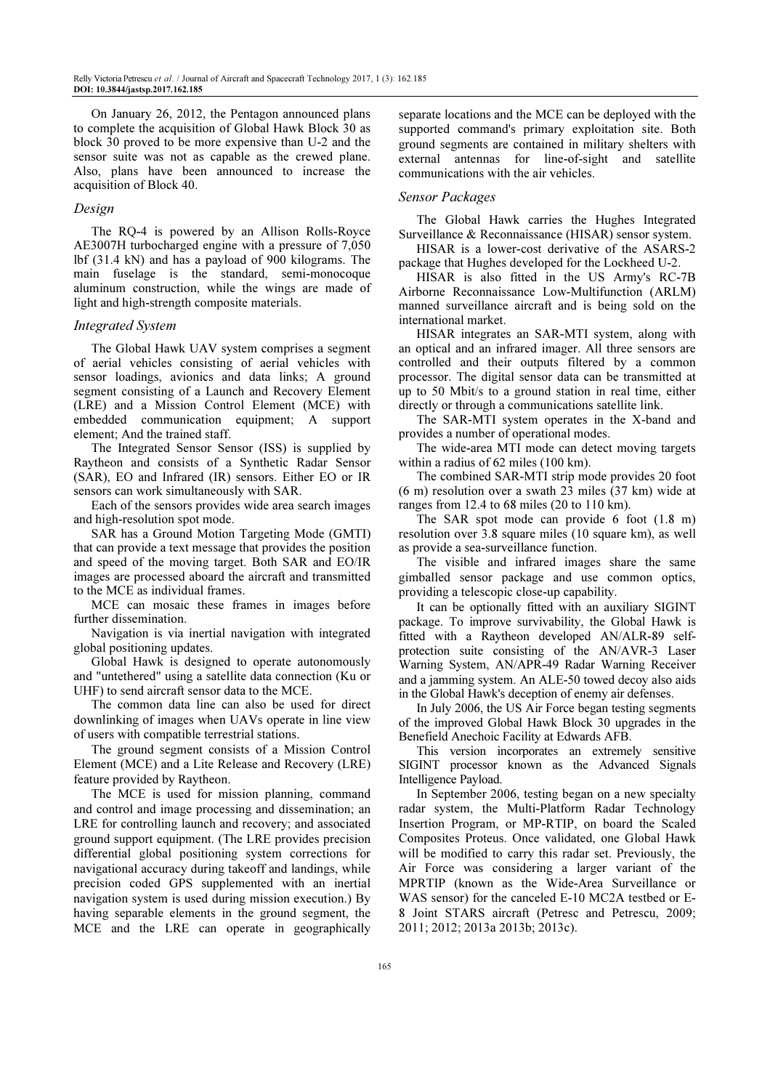On January 26, 2012, the Pentagon announced plans to complete the acquisition of Global Hawk Block 30 as block 30 proved to be more expensive than U-2 and the sensor suite was not as capable as the crewed plane. Also, plans have been announced to increase the acquisition of Block 40.

# Design

The RQ-4 is powered by an Allison Rolls-Royce AE3007H turbocharged engine with a pressure of 7,050 lbf (31.4 kN) and has a payload of 900 kilograms. The main fuselage is the standard, semi-monocoque aluminum construction, while the wings are made of light and high-strength composite materials.

# Integrated System

The Global Hawk UAV system comprises a segment of aerial vehicles consisting of aerial vehicles with sensor loadings, avionics and data links; A ground segment consisting of a Launch and Recovery Element (LRE) and a Mission Control Element (MCE) with embedded communication equipment; A support element; And the trained staff.

The Integrated Sensor Sensor (ISS) is supplied by Raytheon and consists of a Synthetic Radar Sensor (SAR), EO and Infrared (IR) sensors. Either EO or IR sensors can work simultaneously with SAR.

Each of the sensors provides wide area search images and high-resolution spot mode.

SAR has a Ground Motion Targeting Mode (GMTI) that can provide a text message that provides the position and speed of the moving target. Both SAR and EO/IR images are processed aboard the aircraft and transmitted to the MCE as individual frames.

MCE can mosaic these frames in images before further dissemination.

Navigation is via inertial navigation with integrated global positioning updates.

Global Hawk is designed to operate autonomously and "untethered" using a satellite data connection (Ku or UHF) to send aircraft sensor data to the MCE.

The common data line can also be used for direct downlinking of images when UAVs operate in line view of users with compatible terrestrial stations.

The ground segment consists of a Mission Control Element (MCE) and a Lite Release and Recovery (LRE) feature provided by Raytheon.

The MCE is used for mission planning, command and control and image processing and dissemination; an LRE for controlling launch and recovery; and associated ground support equipment. (The LRE provides precision differential global positioning system corrections for navigational accuracy during takeoff and landings, while precision coded GPS supplemented with an inertial navigation system is used during mission execution.) By having separable elements in the ground segment, the MCE and the LRE can operate in geographically

separate locations and the MCE can be deployed with the supported command's primary exploitation site. Both ground segments are contained in military shelters with external antennas for line-of-sight and satellite communications with the air vehicles.

#### Sensor Packages

The Global Hawk carries the Hughes Integrated Surveillance & Reconnaissance (HISAR) sensor system.

HISAR is a lower-cost derivative of the ASARS-2 package that Hughes developed for the Lockheed U-2.

HISAR is also fitted in the US Army's RC-7B Airborne Reconnaissance Low-Multifunction (ARLM) manned surveillance aircraft and is being sold on the international market.

HISAR integrates an SAR-MTI system, along with an optical and an infrared imager. All three sensors are controlled and their outputs filtered by a common processor. The digital sensor data can be transmitted at up to 50 Mbit/s to a ground station in real time, either directly or through a communications satellite link.

The SAR-MTI system operates in the X-band and provides a number of operational modes.

The wide-area MTI mode can detect moving targets within a radius of 62 miles (100 km).

The combined SAR-MTI strip mode provides 20 foot (6 m) resolution over a swath 23 miles (37 km) wide at ranges from 12.4 to 68 miles (20 to 110 km).

The SAR spot mode can provide 6 foot (1.8 m) resolution over 3.8 square miles (10 square km), as well as provide a sea-surveillance function.

The visible and infrared images share the same gimballed sensor package and use common optics, providing a telescopic close-up capability.

It can be optionally fitted with an auxiliary SIGINT package. To improve survivability, the Global Hawk is fitted with a Raytheon developed AN/ALR-89 selfprotection suite consisting of the AN/AVR-3 Laser Warning System, AN/APR-49 Radar Warning Receiver and a jamming system. An ALE-50 towed decoy also aids in the Global Hawk's deception of enemy air defenses.

In July 2006, the US Air Force began testing segments of the improved Global Hawk Block 30 upgrades in the Benefield Anechoic Facility at Edwards AFB.

This version incorporates an extremely sensitive SIGINT processor known as the Advanced Signals Intelligence Payload.

In September 2006, testing began on a new specialty radar system, the Multi-Platform Radar Technology Insertion Program, or MP-RTIP, on board the Scaled Composites Proteus. Once validated, one Global Hawk will be modified to carry this radar set. Previously, the Air Force was considering a larger variant of the MPRTIP (known as the Wide-Area Surveillance or WAS sensor) for the canceled E-10 MC2A testbed or E-8 Joint STARS aircraft (Petresc and Petrescu, 2009; 2011; 2012; 2013a 2013b; 2013c).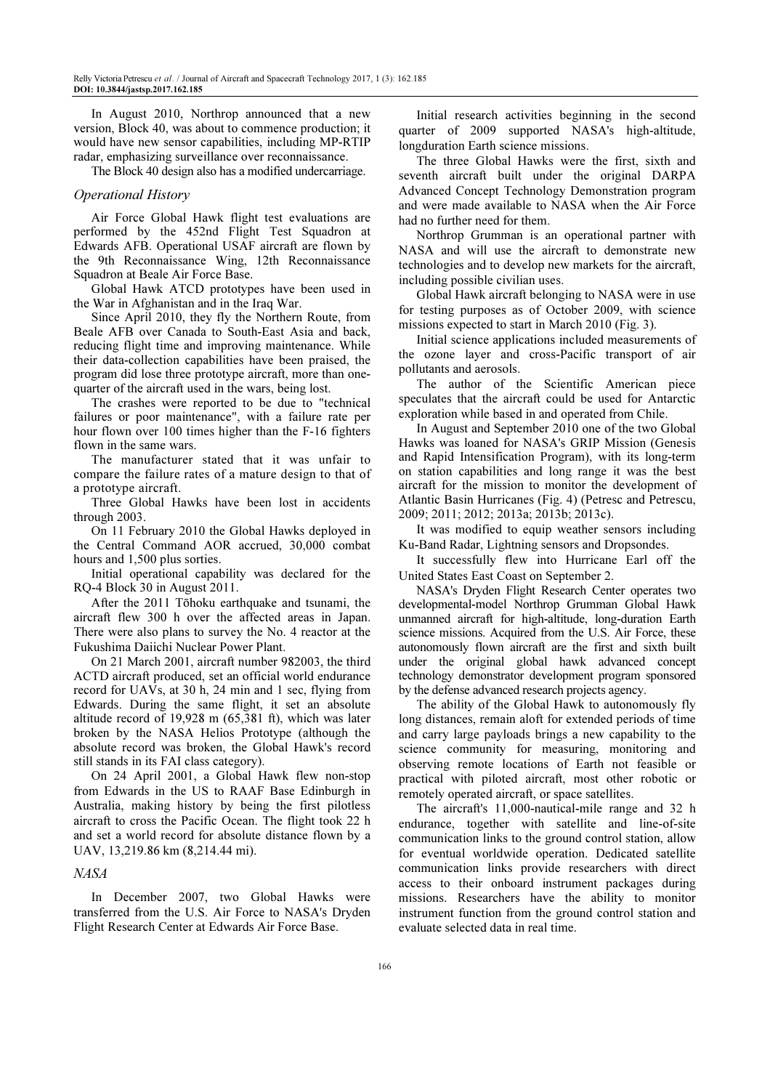In August 2010, Northrop announced that a new version, Block 40, was about to commence production; it would have new sensor capabilities, including MP-RTIP radar, emphasizing surveillance over reconnaissance.

The Block 40 design also has a modified undercarriage.

# Operational History

Air Force Global Hawk flight test evaluations are performed by the 452nd Flight Test Squadron at Edwards AFB. Operational USAF aircraft are flown by the 9th Reconnaissance Wing, 12th Reconnaissance Squadron at Beale Air Force Base.

Global Hawk ATCD prototypes have been used in the War in Afghanistan and in the Iraq War.

Since April 2010, they fly the Northern Route, from Beale AFB over Canada to South-East Asia and back, reducing flight time and improving maintenance. While their data-collection capabilities have been praised, the program did lose three prototype aircraft, more than onequarter of the aircraft used in the wars, being lost.

The crashes were reported to be due to "technical failures or poor maintenance", with a failure rate per hour flown over 100 times higher than the F-16 fighters flown in the same wars.

The manufacturer stated that it was unfair to compare the failure rates of a mature design to that of a prototype aircraft.

Three Global Hawks have been lost in accidents through 2003.

On 11 February 2010 the Global Hawks deployed in the Central Command AOR accrued, 30,000 combat hours and 1,500 plus sorties.

Initial operational capability was declared for the RQ-4 Block 30 in August 2011.

After the 2011 Tōhoku earthquake and tsunami, the aircraft flew 300 h over the affected areas in Japan. There were also plans to survey the No. 4 reactor at the Fukushima Daiichi Nuclear Power Plant.

On 21 March 2001, aircraft number 982003, the third ACTD aircraft produced, set an official world endurance record for UAVs, at 30 h, 24 min and 1 sec, flying from Edwards. During the same flight, it set an absolute altitude record of 19,928 m (65,381 ft), which was later broken by the NASA Helios Prototype (although the absolute record was broken, the Global Hawk's record still stands in its FAI class category).

On 24 April 2001, a Global Hawk flew non-stop from Edwards in the US to RAAF Base Edinburgh in Australia, making history by being the first pilotless aircraft to cross the Pacific Ocean. The flight took 22 h and set a world record for absolute distance flown by a UAV, 13,219.86 km (8,214.44 mi).

# NASA

In December 2007, two Global Hawks were transferred from the U.S. Air Force to NASA's Dryden Flight Research Center at Edwards Air Force Base.

Initial research activities beginning in the second quarter of 2009 supported NASA's high-altitude, longduration Earth science missions.

The three Global Hawks were the first, sixth and seventh aircraft built under the original DARPA Advanced Concept Technology Demonstration program and were made available to NASA when the Air Force had no further need for them.

Northrop Grumman is an operational partner with NASA and will use the aircraft to demonstrate new technologies and to develop new markets for the aircraft, including possible civilian uses.

Global Hawk aircraft belonging to NASA were in use for testing purposes as of October 2009, with science missions expected to start in March 2010 (Fig. 3).

Initial science applications included measurements of the ozone layer and cross-Pacific transport of air pollutants and aerosols.

The author of the Scientific American piece speculates that the aircraft could be used for Antarctic exploration while based in and operated from Chile.

In August and September 2010 one of the two Global Hawks was loaned for NASA's GRIP Mission (Genesis and Rapid Intensification Program), with its long-term on station capabilities and long range it was the best aircraft for the mission to monitor the development of Atlantic Basin Hurricanes (Fig. 4) (Petresc and Petrescu, 2009; 2011; 2012; 2013a; 2013b; 2013c).

It was modified to equip weather sensors including Ku-Band Radar, Lightning sensors and Dropsondes.

It successfully flew into Hurricane Earl off the United States East Coast on September 2.

NASA's Dryden Flight Research Center operates two developmental-model Northrop Grumman Global Hawk unmanned aircraft for high-altitude, long-duration Earth science missions. Acquired from the U.S. Air Force, these autonomously flown aircraft are the first and sixth built under the original global hawk advanced concept technology demonstrator development program sponsored by the defense advanced research projects agency.

The ability of the Global Hawk to autonomously fly long distances, remain aloft for extended periods of time and carry large payloads brings a new capability to the science community for measuring, monitoring and observing remote locations of Earth not feasible or practical with piloted aircraft, most other robotic or remotely operated aircraft, or space satellites.

The aircraft's 11,000-nautical-mile range and 32 h endurance, together with satellite and line-of-site communication links to the ground control station, allow for eventual worldwide operation. Dedicated satellite communication links provide researchers with direct access to their onboard instrument packages during missions. Researchers have the ability to monitor instrument function from the ground control station and evaluate selected data in real time.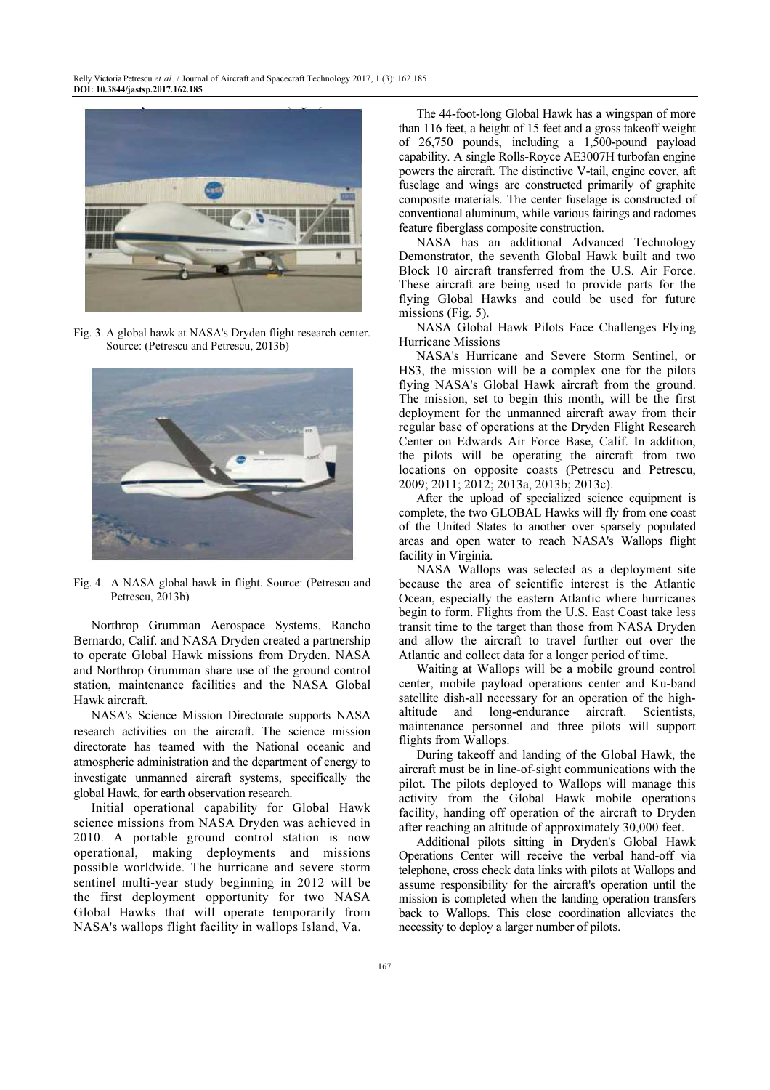

Fig. 3. A global hawk at NASA's Dryden flight research center. Source: (Petrescu and Petrescu, 2013b)



Fig. 4. A NASA global hawk in flight. Source: (Petrescu and Petrescu, 2013b)

Northrop Grumman Aerospace Systems, Rancho Bernardo, Calif. and NASA Dryden created a partnership to operate Global Hawk missions from Dryden. NASA and Northrop Grumman share use of the ground control station, maintenance facilities and the NASA Global Hawk aircraft.

NASA's Science Mission Directorate supports NASA research activities on the aircraft. The science mission directorate has teamed with the National oceanic and atmospheric administration and the department of energy to investigate unmanned aircraft systems, specifically the global Hawk, for earth observation research.

Initial operational capability for Global Hawk science missions from NASA Dryden was achieved in 2010. A portable ground control station is now operational, making deployments and missions possible worldwide. The hurricane and severe storm sentinel multi-year study beginning in 2012 will be the first deployment opportunity for two NASA Global Hawks that will operate temporarily from NASA's wallops flight facility in wallops Island, Va.

The 44-foot-long Global Hawk has a wingspan of more than 116 feet, a height of 15 feet and a gross takeoff weight of 26,750 pounds, including a 1,500-pound payload capability. A single Rolls-Royce AE3007H turbofan engine powers the aircraft. The distinctive V-tail, engine cover, aft fuselage and wings are constructed primarily of graphite composite materials. The center fuselage is constructed of conventional aluminum, while various fairings and radomes feature fiberglass composite construction.

NASA has an additional Advanced Technology Demonstrator, the seventh Global Hawk built and two Block 10 aircraft transferred from the U.S. Air Force. These aircraft are being used to provide parts for the flying Global Hawks and could be used for future missions (Fig. 5).

NASA Global Hawk Pilots Face Challenges Flying Hurricane Missions

NASA's Hurricane and Severe Storm Sentinel, or HS3, the mission will be a complex one for the pilots flying NASA's Global Hawk aircraft from the ground. The mission, set to begin this month, will be the first deployment for the unmanned aircraft away from their regular base of operations at the Dryden Flight Research Center on Edwards Air Force Base, Calif. In addition, the pilots will be operating the aircraft from two locations on opposite coasts (Petrescu and Petrescu, 2009; 2011; 2012; 2013a, 2013b; 2013c).

After the upload of specialized science equipment is complete, the two GLOBAL Hawks will fly from one coast of the United States to another over sparsely populated areas and open water to reach NASA's Wallops flight facility in Virginia.

NASA Wallops was selected as a deployment site because the area of scientific interest is the Atlantic Ocean, especially the eastern Atlantic where hurricanes begin to form. Flights from the U.S. East Coast take less transit time to the target than those from NASA Dryden and allow the aircraft to travel further out over the Atlantic and collect data for a longer period of time.

Waiting at Wallops will be a mobile ground control center, mobile payload operations center and Ku-band satellite dish-all necessary for an operation of the highaltitude and long-endurance aircraft. Scientists, maintenance personnel and three pilots will support flights from Wallops.

During takeoff and landing of the Global Hawk, the aircraft must be in line-of-sight communications with the pilot. The pilots deployed to Wallops will manage this activity from the Global Hawk mobile operations facility, handing off operation of the aircraft to Dryden after reaching an altitude of approximately 30,000 feet.

Additional pilots sitting in Dryden's Global Hawk Operations Center will receive the verbal hand-off via telephone, cross check data links with pilots at Wallops and assume responsibility for the aircraft's operation until the mission is completed when the landing operation transfers back to Wallops. This close coordination alleviates the necessity to deploy a larger number of pilots.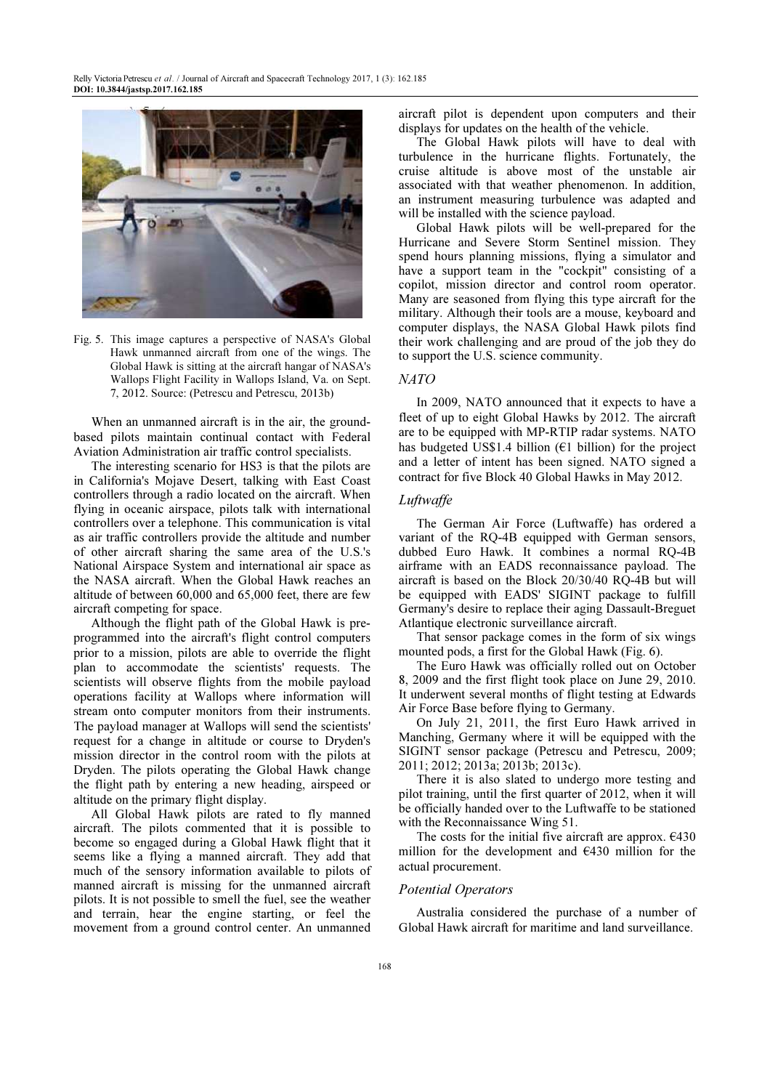

Fig. 5. This image captures a perspective of NASA's Global Hawk unmanned aircraft from one of the wings. The Global Hawk is sitting at the aircraft hangar of NASA's Wallops Flight Facility in Wallops Island, Va. on Sept. 7, 2012. Source: (Petrescu and Petrescu, 2013b)

When an unmanned aircraft is in the air, the groundbased pilots maintain continual contact with Federal Aviation Administration air traffic control specialists.

The interesting scenario for HS3 is that the pilots are in California's Mojave Desert, talking with East Coast controllers through a radio located on the aircraft. When flying in oceanic airspace, pilots talk with international controllers over a telephone. This communication is vital as air traffic controllers provide the altitude and number of other aircraft sharing the same area of the U.S.'s National Airspace System and international air space as the NASA aircraft. When the Global Hawk reaches an altitude of between 60,000 and 65,000 feet, there are few aircraft competing for space.

Although the flight path of the Global Hawk is preprogrammed into the aircraft's flight control computers prior to a mission, pilots are able to override the flight plan to accommodate the scientists' requests. The scientists will observe flights from the mobile payload operations facility at Wallops where information will stream onto computer monitors from their instruments. The payload manager at Wallops will send the scientists' request for a change in altitude or course to Dryden's mission director in the control room with the pilots at Dryden. The pilots operating the Global Hawk change the flight path by entering a new heading, airspeed or altitude on the primary flight display.

All Global Hawk pilots are rated to fly manned aircraft. The pilots commented that it is possible to become so engaged during a Global Hawk flight that it seems like a flying a manned aircraft. They add that much of the sensory information available to pilots of manned aircraft is missing for the unmanned aircraft pilots. It is not possible to smell the fuel, see the weather and terrain, hear the engine starting, or feel the movement from a ground control center. An unmanned aircraft pilot is dependent upon computers and their displays for updates on the health of the vehicle.

The Global Hawk pilots will have to deal with turbulence in the hurricane flights. Fortunately, the cruise altitude is above most of the unstable air associated with that weather phenomenon. In addition, an instrument measuring turbulence was adapted and will be installed with the science payload.

Global Hawk pilots will be well-prepared for the Hurricane and Severe Storm Sentinel mission. They spend hours planning missions, flying a simulator and have a support team in the "cockpit" consisting of a copilot, mission director and control room operator. Many are seasoned from flying this type aircraft for the military. Although their tools are a mouse, keyboard and computer displays, the NASA Global Hawk pilots find their work challenging and are proud of the job they do to support the U.S. science community.

# NATO

In 2009, NATO announced that it expects to have a fleet of up to eight Global Hawks by 2012. The aircraft are to be equipped with MP-RTIP radar systems. NATO has budgeted US\$1.4 billion ( $E1$  billion) for the project and a letter of intent has been signed. NATO signed a contract for five Block 40 Global Hawks in May 2012.

## Luftwaffe

The German Air Force (Luftwaffe) has ordered a variant of the RQ-4B equipped with German sensors, dubbed Euro Hawk. It combines a normal RQ-4B airframe with an EADS reconnaissance payload. The aircraft is based on the Block 20/30/40 RQ-4B but will be equipped with EADS' SIGINT package to fulfill Germany's desire to replace their aging Dassault-Breguet Atlantique electronic surveillance aircraft.

That sensor package comes in the form of six wings mounted pods, a first for the Global Hawk (Fig. 6).

The Euro Hawk was officially rolled out on October 8, 2009 and the first flight took place on June 29, 2010. It underwent several months of flight testing at Edwards Air Force Base before flying to Germany.

On July 21, 2011, the first Euro Hawk arrived in Manching, Germany where it will be equipped with the SIGINT sensor package (Petrescu and Petrescu, 2009; 2011; 2012; 2013a; 2013b; 2013c).

There it is also slated to undergo more testing and pilot training, until the first quarter of 2012, when it will be officially handed over to the Luftwaffe to be stationed with the Reconnaissance Wing 51.

The costs for the initial five aircraft are approx.  $6430$ million for the development and €430 million for the actual procurement.

### Potential Operators

Australia considered the purchase of a number of Global Hawk aircraft for maritime and land surveillance.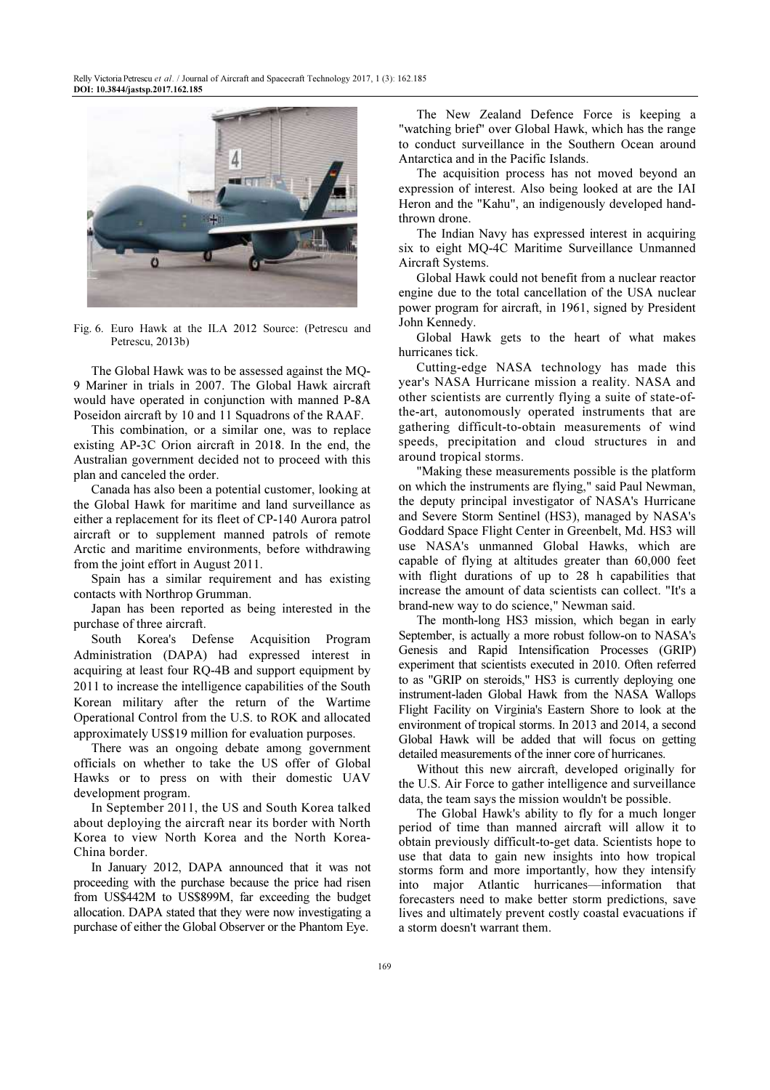

Fig. 6. Euro Hawk at the ILA 2012 Source: (Petrescu and Petrescu, 2013b)

The Global Hawk was to be assessed against the MQ-9 Mariner in trials in 2007. The Global Hawk aircraft would have operated in conjunction with manned P-8A Poseidon aircraft by 10 and 11 Squadrons of the RAAF.

This combination, or a similar one, was to replace existing AP-3C Orion aircraft in 2018. In the end, the Australian government decided not to proceed with this plan and canceled the order.

Canada has also been a potential customer, looking at the Global Hawk for maritime and land surveillance as either a replacement for its fleet of CP-140 Aurora patrol aircraft or to supplement manned patrols of remote Arctic and maritime environments, before withdrawing from the joint effort in August 2011.

Spain has a similar requirement and has existing contacts with Northrop Grumman.

Japan has been reported as being interested in the purchase of three aircraft.

South Korea's Defense Acquisition Program Administration (DAPA) had expressed interest in acquiring at least four RQ-4B and support equipment by 2011 to increase the intelligence capabilities of the South Korean military after the return of the Wartime Operational Control from the U.S. to ROK and allocated approximately US\$19 million for evaluation purposes.

There was an ongoing debate among government officials on whether to take the US offer of Global Hawks or to press on with their domestic UAV development program.

In September 2011, the US and South Korea talked about deploying the aircraft near its border with North Korea to view North Korea and the North Korea-China border.

In January 2012, DAPA announced that it was not proceeding with the purchase because the price had risen from US\$442M to US\$899M, far exceeding the budget allocation. DAPA stated that they were now investigating a purchase of either the Global Observer or the Phantom Eye.

The New Zealand Defence Force is keeping a "watching brief" over Global Hawk, which has the range to conduct surveillance in the Southern Ocean around Antarctica and in the Pacific Islands.

The acquisition process has not moved beyond an expression of interest. Also being looked at are the IAI Heron and the "Kahu", an indigenously developed handthrown drone.

The Indian Navy has expressed interest in acquiring six to eight MQ-4C Maritime Surveillance Unmanned Aircraft Systems.

Global Hawk could not benefit from a nuclear reactor engine due to the total cancellation of the USA nuclear power program for aircraft, in 1961, signed by President John Kennedy.

Global Hawk gets to the heart of what makes hurricanes tick.

Cutting-edge NASA technology has made this year's NASA Hurricane mission a reality. NASA and other scientists are currently flying a suite of state-ofthe-art, autonomously operated instruments that are gathering difficult-to-obtain measurements of wind speeds, precipitation and cloud structures in and around tropical storms.

"Making these measurements possible is the platform on which the instruments are flying," said Paul Newman, the deputy principal investigator of NASA's Hurricane and Severe Storm Sentinel (HS3), managed by NASA's Goddard Space Flight Center in Greenbelt, Md. HS3 will use NASA's unmanned Global Hawks, which are capable of flying at altitudes greater than 60,000 feet with flight durations of up to 28 h capabilities that increase the amount of data scientists can collect. "It's a brand-new way to do science," Newman said.

The month-long HS3 mission, which began in early September, is actually a more robust follow-on to NASA's Genesis and Rapid Intensification Processes (GRIP) experiment that scientists executed in 2010. Often referred to as "GRIP on steroids," HS3 is currently deploying one instrument-laden Global Hawk from the NASA Wallops Flight Facility on Virginia's Eastern Shore to look at the environment of tropical storms. In 2013 and 2014, a second Global Hawk will be added that will focus on getting detailed measurements of the inner core of hurricanes.

Without this new aircraft, developed originally for the U.S. Air Force to gather intelligence and surveillance data, the team says the mission wouldn't be possible.

The Global Hawk's ability to fly for a much longer period of time than manned aircraft will allow it to obtain previously difficult-to-get data. Scientists hope to use that data to gain new insights into how tropical storms form and more importantly, how they intensify into major Atlantic hurricanes—information that forecasters need to make better storm predictions, save lives and ultimately prevent costly coastal evacuations if a storm doesn't warrant them.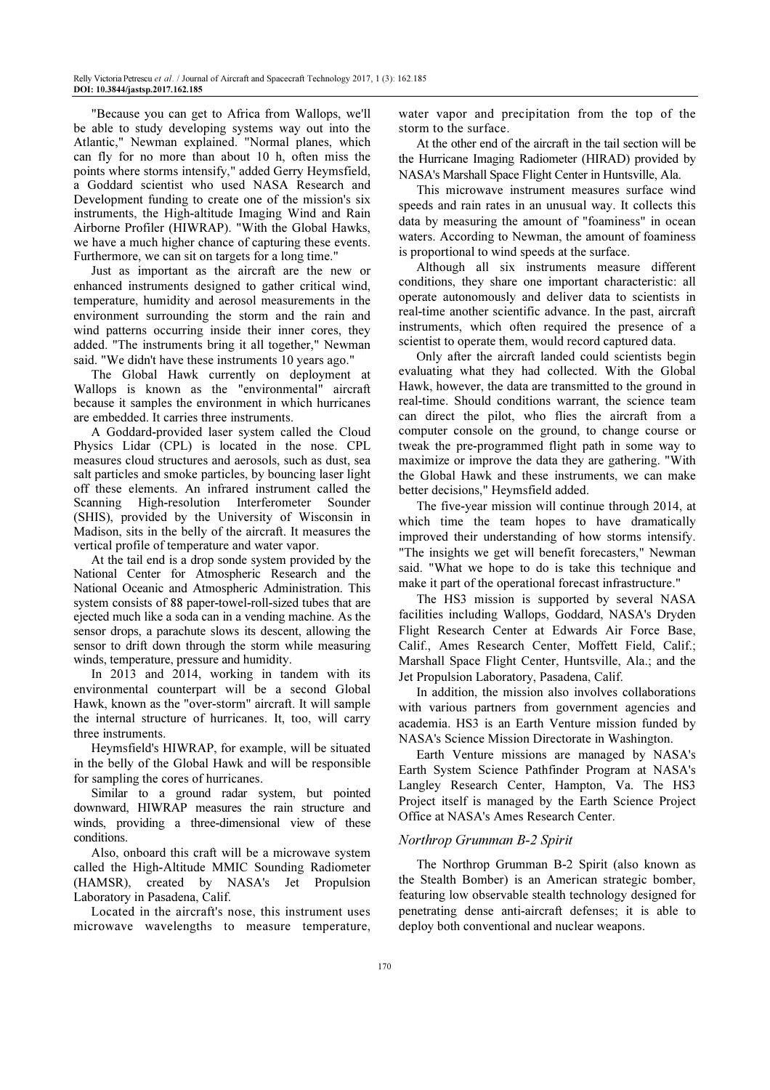"Because you can get to Africa from Wallops, we'll be able to study developing systems way out into the Atlantic," Newman explained. "Normal planes, which can fly for no more than about 10 h, often miss the points where storms intensify," added Gerry Heymsfield, a Goddard scientist who used NASA Research and Development funding to create one of the mission's six instruments, the High-altitude Imaging Wind and Rain Airborne Profiler (HIWRAP). "With the Global Hawks, we have a much higher chance of capturing these events. Furthermore, we can sit on targets for a long time."

Just as important as the aircraft are the new or enhanced instruments designed to gather critical wind, temperature, humidity and aerosol measurements in the environment surrounding the storm and the rain and wind patterns occurring inside their inner cores, they added. "The instruments bring it all together," Newman said. "We didn't have these instruments 10 years ago."

The Global Hawk currently on deployment at Wallops is known as the "environmental" aircraft because it samples the environment in which hurricanes are embedded. It carries three instruments.

A Goddard-provided laser system called the Cloud Physics Lidar (CPL) is located in the nose. CPL measures cloud structures and aerosols, such as dust, sea salt particles and smoke particles, by bouncing laser light off these elements. An infrared instrument called the Scanning High-resolution Interferometer Sounder (SHIS), provided by the University of Wisconsin in Madison, sits in the belly of the aircraft. It measures the vertical profile of temperature and water vapor.

At the tail end is a drop sonde system provided by the National Center for Atmospheric Research and the National Oceanic and Atmospheric Administration. This system consists of 88 paper-towel-roll-sized tubes that are ejected much like a soda can in a vending machine. As the sensor drops, a parachute slows its descent, allowing the sensor to drift down through the storm while measuring winds, temperature, pressure and humidity.

In 2013 and 2014, working in tandem with its environmental counterpart will be a second Global Hawk, known as the "over-storm" aircraft. It will sample the internal structure of hurricanes. It, too, will carry three instruments.

Heymsfield's HIWRAP, for example, will be situated in the belly of the Global Hawk and will be responsible for sampling the cores of hurricanes.

Similar to a ground radar system, but pointed downward, HIWRAP measures the rain structure and winds, providing a three-dimensional view of these conditions.

Also, onboard this craft will be a microwave system called the High-Altitude MMIC Sounding Radiometer (HAMSR), created by NASA's Jet Propulsion Laboratory in Pasadena, Calif.

Located in the aircraft's nose, this instrument uses microwave wavelengths to measure temperature,

water vapor and precipitation from the top of the storm to the surface.

At the other end of the aircraft in the tail section will be the Hurricane Imaging Radiometer (HIRAD) provided by NASA's Marshall Space Flight Center in Huntsville, Ala.

This microwave instrument measures surface wind speeds and rain rates in an unusual way. It collects this data by measuring the amount of "foaminess" in ocean waters. According to Newman, the amount of foaminess is proportional to wind speeds at the surface.

Although all six instruments measure different conditions, they share one important characteristic: all operate autonomously and deliver data to scientists in real-time another scientific advance. In the past, aircraft instruments, which often required the presence of a scientist to operate them, would record captured data.

Only after the aircraft landed could scientists begin evaluating what they had collected. With the Global Hawk, however, the data are transmitted to the ground in real-time. Should conditions warrant, the science team can direct the pilot, who flies the aircraft from a computer console on the ground, to change course or tweak the pre-programmed flight path in some way to maximize or improve the data they are gathering. "With the Global Hawk and these instruments, we can make better decisions," Heymsfield added.

The five-year mission will continue through 2014, at which time the team hopes to have dramatically improved their understanding of how storms intensify. "The insights we get will benefit forecasters," Newman said. "What we hope to do is take this technique and make it part of the operational forecast infrastructure."

The HS3 mission is supported by several NASA facilities including Wallops, Goddard, NASA's Dryden Flight Research Center at Edwards Air Force Base, Calif., Ames Research Center, Moffett Field, Calif.; Marshall Space Flight Center, Huntsville, Ala.; and the Jet Propulsion Laboratory, Pasadena, Calif.

In addition, the mission also involves collaborations with various partners from government agencies and academia. HS3 is an Earth Venture mission funded by NASA's Science Mission Directorate in Washington.

Earth Venture missions are managed by NASA's Earth System Science Pathfinder Program at NASA's Langley Research Center, Hampton, Va. The HS3 Project itself is managed by the Earth Science Project Office at NASA's Ames Research Center.

# Northrop Grumman B-2 Spirit

The Northrop Grumman B-2 Spirit (also known as the Stealth Bomber) is an American strategic bomber, featuring low observable stealth technology designed for penetrating dense anti-aircraft defenses; it is able to deploy both conventional and nuclear weapons.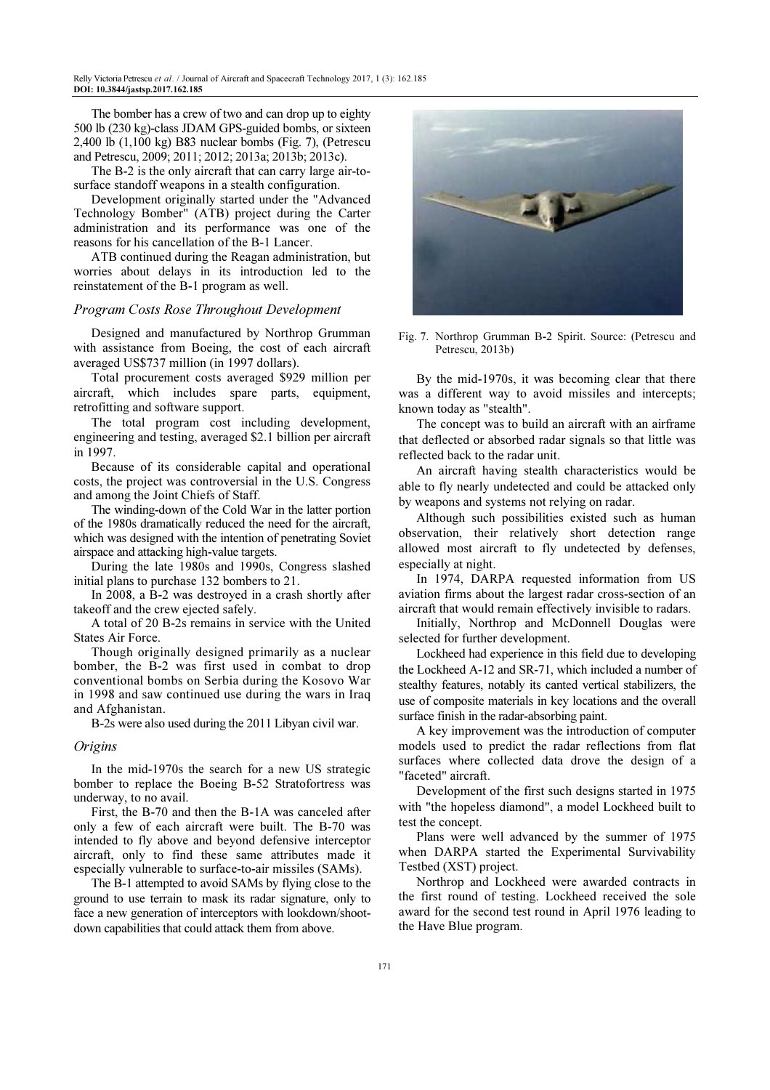The bomber has a crew of two and can drop up to eighty 500 lb (230 kg)-class JDAM GPS-guided bombs, or sixteen 2,400 lb (1,100 kg) B83 nuclear bombs (Fig. 7), (Petrescu and Petrescu, 2009; 2011; 2012; 2013a; 2013b; 2013c).

The B-2 is the only aircraft that can carry large air-tosurface standoff weapons in a stealth configuration.

Development originally started under the "Advanced Technology Bomber" (ATB) project during the Carter administration and its performance was one of the reasons for his cancellation of the B-1 Lancer.

ATB continued during the Reagan administration, but worries about delays in its introduction led to the reinstatement of the B-1 program as well.

## Program Costs Rose Throughout Development

Designed and manufactured by Northrop Grumman with assistance from Boeing, the cost of each aircraft averaged US\$737 million (in 1997 dollars).

Total procurement costs averaged \$929 million per aircraft, which includes spare parts, equipment, retrofitting and software support.

The total program cost including development, engineering and testing, averaged \$2.1 billion per aircraft in 1997.

Because of its considerable capital and operational costs, the project was controversial in the U.S. Congress and among the Joint Chiefs of Staff.

The winding-down of the Cold War in the latter portion of the 1980s dramatically reduced the need for the aircraft, which was designed with the intention of penetrating Soviet airspace and attacking high-value targets.

During the late 1980s and 1990s, Congress slashed initial plans to purchase 132 bombers to 21.

In 2008, a B-2 was destroyed in a crash shortly after takeoff and the crew ejected safely.

A total of 20 B-2s remains in service with the United States Air Force.

Though originally designed primarily as a nuclear bomber, the B-2 was first used in combat to drop conventional bombs on Serbia during the Kosovo War in 1998 and saw continued use during the wars in Iraq and Afghanistan.

B-2s were also used during the 2011 Libyan civil war.

#### **Origins**

In the mid-1970s the search for a new US strategic bomber to replace the Boeing B-52 Stratofortress was underway, to no avail.

First, the B-70 and then the B-1A was canceled after only a few of each aircraft were built. The B-70 was intended to fly above and beyond defensive interceptor aircraft, only to find these same attributes made it especially vulnerable to surface-to-air missiles (SAMs).

The B-1 attempted to avoid SAMs by flying close to the ground to use terrain to mask its radar signature, only to face a new generation of interceptors with lookdown/shootdown capabilities that could attack them from above.



Fig. 7. Northrop Grumman B-2 Spirit. Source: (Petrescu and Petrescu, 2013b)

By the mid-1970s, it was becoming clear that there was a different way to avoid missiles and intercepts; known today as "stealth".

The concept was to build an aircraft with an airframe that deflected or absorbed radar signals so that little was reflected back to the radar unit.

An aircraft having stealth characteristics would be able to fly nearly undetected and could be attacked only by weapons and systems not relying on radar.

Although such possibilities existed such as human observation, their relatively short detection range allowed most aircraft to fly undetected by defenses, especially at night.

In 1974, DARPA requested information from US aviation firms about the largest radar cross-section of an aircraft that would remain effectively invisible to radars.

Initially, Northrop and McDonnell Douglas were selected for further development.

Lockheed had experience in this field due to developing the Lockheed A-12 and SR-71, which included a number of stealthy features, notably its canted vertical stabilizers, the use of composite materials in key locations and the overall surface finish in the radar-absorbing paint.

A key improvement was the introduction of computer models used to predict the radar reflections from flat surfaces where collected data drove the design of a "faceted" aircraft.

Development of the first such designs started in 1975 with "the hopeless diamond", a model Lockheed built to test the concept.

Plans were well advanced by the summer of 1975 when DARPA started the Experimental Survivability Testbed (XST) project.

Northrop and Lockheed were awarded contracts in the first round of testing. Lockheed received the sole award for the second test round in April 1976 leading to the Have Blue program.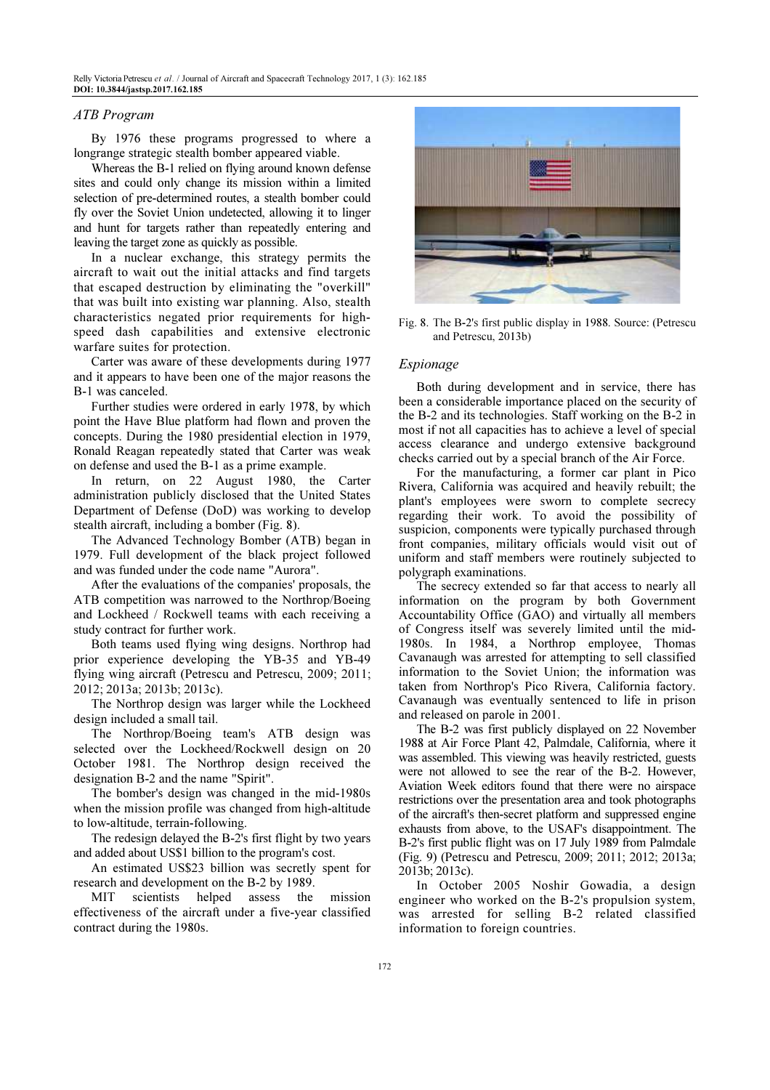#### ATB Program

By 1976 these programs progressed to where a longrange strategic stealth bomber appeared viable.

Whereas the B-1 relied on flying around known defense sites and could only change its mission within a limited selection of pre-determined routes, a stealth bomber could fly over the Soviet Union undetected, allowing it to linger and hunt for targets rather than repeatedly entering and leaving the target zone as quickly as possible.

In a nuclear exchange, this strategy permits the aircraft to wait out the initial attacks and find targets that escaped destruction by eliminating the "overkill" that was built into existing war planning. Also, stealth characteristics negated prior requirements for highspeed dash capabilities and extensive electronic warfare suites for protection.

Carter was aware of these developments during 1977 and it appears to have been one of the major reasons the B-1 was canceled.

Further studies were ordered in early 1978, by which point the Have Blue platform had flown and proven the concepts. During the 1980 presidential election in 1979, Ronald Reagan repeatedly stated that Carter was weak on defense and used the B-1 as a prime example.

In return, on 22 August 1980, the Carter administration publicly disclosed that the United States Department of Defense (DoD) was working to develop stealth aircraft, including a bomber (Fig. 8).

The Advanced Technology Bomber (ATB) began in 1979. Full development of the black project followed and was funded under the code name "Aurora".

After the evaluations of the companies' proposals, the ATB competition was narrowed to the Northrop/Boeing and Lockheed / Rockwell teams with each receiving a study contract for further work.

Both teams used flying wing designs. Northrop had prior experience developing the YB-35 and YB-49 flying wing aircraft (Petrescu and Petrescu, 2009; 2011; 2012; 2013a; 2013b; 2013c).

The Northrop design was larger while the Lockheed design included a small tail.

The Northrop/Boeing team's ATB design was selected over the Lockheed/Rockwell design on 20 October 1981. The Northrop design received the designation B-2 and the name "Spirit".

The bomber's design was changed in the mid-1980s when the mission profile was changed from high-altitude to low-altitude, terrain-following.

The redesign delayed the B-2's first flight by two years and added about US\$1 billion to the program's cost.

An estimated US\$23 billion was secretly spent for research and development on the B-2 by 1989.

MIT scientists helped assess the mission effectiveness of the aircraft under a five-year classified contract during the 1980s.



Fig. 8. The B-2's first public display in 1988. Source: (Petrescu and Petrescu, 2013b)

# Espionage

Both during development and in service, there has been a considerable importance placed on the security of the B-2 and its technologies. Staff working on the B-2 in most if not all capacities has to achieve a level of special access clearance and undergo extensive background checks carried out by a special branch of the Air Force.

For the manufacturing, a former car plant in Pico Rivera, California was acquired and heavily rebuilt; the plant's employees were sworn to complete secrecy regarding their work. To avoid the possibility of suspicion, components were typically purchased through front companies, military officials would visit out of uniform and staff members were routinely subjected to polygraph examinations.

The secrecy extended so far that access to nearly all information on the program by both Government Accountability Office (GAO) and virtually all members of Congress itself was severely limited until the mid-1980s. In 1984, a Northrop employee, Thomas Cavanaugh was arrested for attempting to sell classified information to the Soviet Union; the information was taken from Northrop's Pico Rivera, California factory. Cavanaugh was eventually sentenced to life in prison and released on parole in 2001.

The B-2 was first publicly displayed on 22 November 1988 at Air Force Plant 42, Palmdale, California, where it was assembled. This viewing was heavily restricted, guests were not allowed to see the rear of the B-2. However, Aviation Week editors found that there were no airspace restrictions over the presentation area and took photographs of the aircraft's then-secret platform and suppressed engine exhausts from above, to the USAF's disappointment. The B-2's first public flight was on 17 July 1989 from Palmdale (Fig. 9) (Petrescu and Petrescu, 2009; 2011; 2012; 2013a; 2013b; 2013c).

In October 2005 Noshir Gowadia, a design engineer who worked on the B-2's propulsion system, was arrested for selling B-2 related classified information to foreign countries.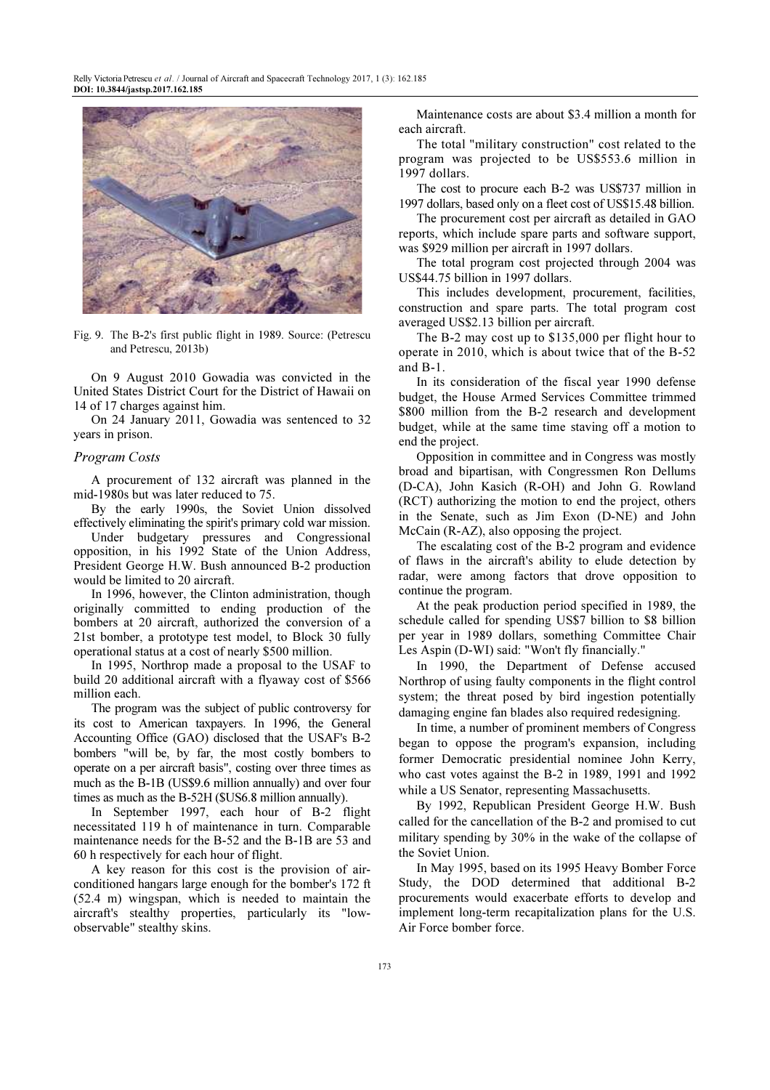

Fig. 9. The B-2's first public flight in 1989. Source: (Petrescu and Petrescu, 2013b)

On 9 August 2010 Gowadia was convicted in the United States District Court for the District of Hawaii on 14 of 17 charges against him.

On 24 January 2011, Gowadia was sentenced to 32 years in prison.

### Program Costs

A procurement of 132 aircraft was planned in the mid-1980s but was later reduced to 75.

By the early 1990s, the Soviet Union dissolved effectively eliminating the spirit's primary cold war mission.

Under budgetary pressures and Congressional opposition, in his 1992 State of the Union Address, President George H.W. Bush announced B-2 production would be limited to 20 aircraft.

In 1996, however, the Clinton administration, though originally committed to ending production of the bombers at 20 aircraft, authorized the conversion of a 21st bomber, a prototype test model, to Block 30 fully operational status at a cost of nearly \$500 million.

In 1995, Northrop made a proposal to the USAF to build 20 additional aircraft with a flyaway cost of \$566 million each.

The program was the subject of public controversy for its cost to American taxpayers. In 1996, the General Accounting Office (GAO) disclosed that the USAF's B-2 bombers "will be, by far, the most costly bombers to operate on a per aircraft basis", costing over three times as much as the B-1B (US\$9.6 million annually) and over four times as much as the B-52H (\$US6.8 million annually).

In September 1997, each hour of B-2 flight necessitated 119 h of maintenance in turn. Comparable maintenance needs for the B-52 and the B-1B are 53 and 60 h respectively for each hour of flight.

A key reason for this cost is the provision of airconditioned hangars large enough for the bomber's 172 ft (52.4 m) wingspan, which is needed to maintain the aircraft's stealthy properties, particularly its "lowobservable" stealthy skins.

Maintenance costs are about \$3.4 million a month for each aircraft.

The total "military construction" cost related to the program was projected to be US\$553.6 million in 1997 dollars.

The cost to procure each B-2 was US\$737 million in 1997 dollars, based only on a fleet cost of US\$15.48 billion.

The procurement cost per aircraft as detailed in GAO reports, which include spare parts and software support, was \$929 million per aircraft in 1997 dollars.

The total program cost projected through 2004 was US\$44.75 billion in 1997 dollars.

This includes development, procurement, facilities, construction and spare parts. The total program cost averaged US\$2.13 billion per aircraft.

The B-2 may cost up to \$135,000 per flight hour to operate in 2010, which is about twice that of the B-52 and B-1.

In its consideration of the fiscal year 1990 defense budget, the House Armed Services Committee trimmed \$800 million from the B-2 research and development budget, while at the same time staving off a motion to end the project.

Opposition in committee and in Congress was mostly broad and bipartisan, with Congressmen Ron Dellums (D-CA), John Kasich (R-OH) and John G. Rowland (RCT) authorizing the motion to end the project, others in the Senate, such as Jim Exon (D-NE) and John McCain (R-AZ), also opposing the project.

The escalating cost of the B-2 program and evidence of flaws in the aircraft's ability to elude detection by radar, were among factors that drove opposition to continue the program.

At the peak production period specified in 1989, the schedule called for spending US\$7 billion to \$8 billion per year in 1989 dollars, something Committee Chair Les Aspin (D-WI) said: "Won't fly financially."

In 1990, the Department of Defense accused Northrop of using faulty components in the flight control system; the threat posed by bird ingestion potentially damaging engine fan blades also required redesigning.

In time, a number of prominent members of Congress began to oppose the program's expansion, including former Democratic presidential nominee John Kerry, who cast votes against the B-2 in 1989, 1991 and 1992 while a US Senator, representing Massachusetts.

By 1992, Republican President George H.W. Bush called for the cancellation of the B-2 and promised to cut military spending by 30% in the wake of the collapse of the Soviet Union.

In May 1995, based on its 1995 Heavy Bomber Force Study, the DOD determined that additional B-2 procurements would exacerbate efforts to develop and implement long-term recapitalization plans for the U.S. Air Force bomber force.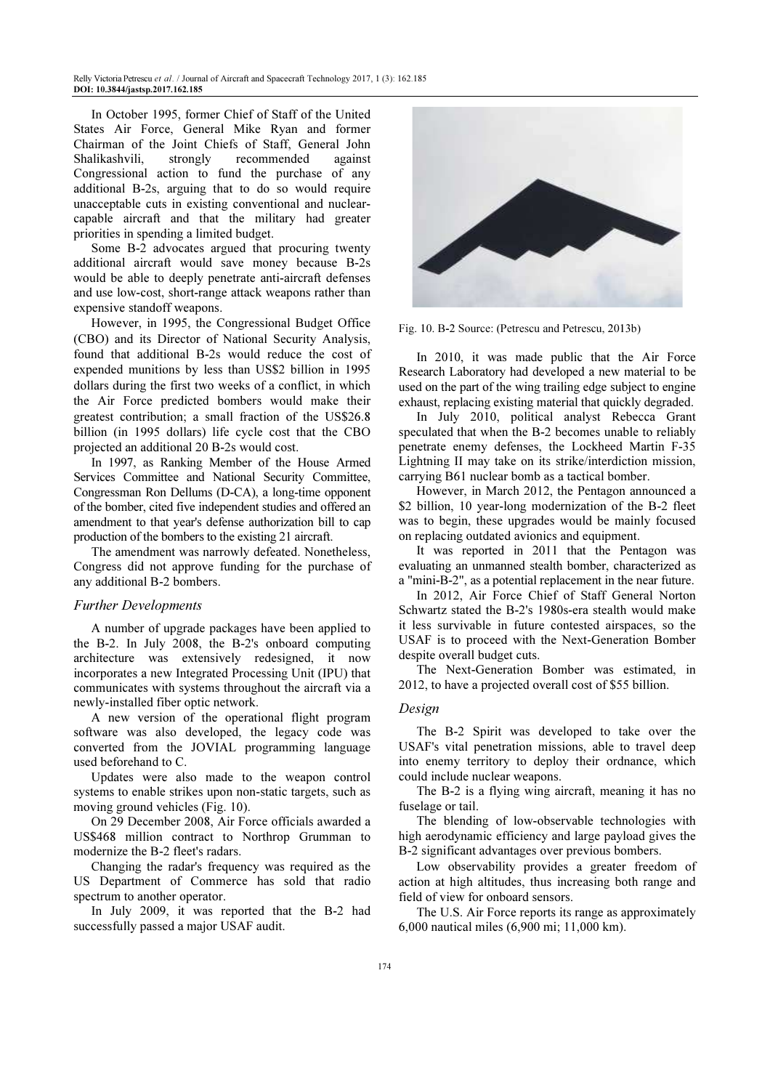Relly Victoria Petrescu *et al.* / Journal of Aircraft and Spacecraft Technology 2017, 1 (3): 162.185 DOI: 10.3844/jastsp.2017.162.185

In October 1995, former Chief of Staff of the United States Air Force, General Mike Ryan and former Chairman of the Joint Chiefs of Staff, General John Shalikashvili, strongly recommended against Congressional action to fund the purchase of any additional B-2s, arguing that to do so would require unacceptable cuts in existing conventional and nuclearcapable aircraft and that the military had greater priorities in spending a limited budget.

Some B-2 advocates argued that procuring twenty additional aircraft would save money because B-2s would be able to deeply penetrate anti-aircraft defenses and use low-cost, short-range attack weapons rather than expensive standoff weapons.

However, in 1995, the Congressional Budget Office (CBO) and its Director of National Security Analysis, found that additional B-2s would reduce the cost of expended munitions by less than US\$2 billion in 1995 dollars during the first two weeks of a conflict, in which the Air Force predicted bombers would make their greatest contribution; a small fraction of the US\$26.8 billion (in 1995 dollars) life cycle cost that the CBO projected an additional 20 B-2s would cost.

In 1997, as Ranking Member of the House Armed Services Committee and National Security Committee, Congressman Ron Dellums (D-CA), a long-time opponent of the bomber, cited five independent studies and offered an amendment to that year's defense authorization bill to cap production of the bombers to the existing 21 aircraft.

The amendment was narrowly defeated. Nonetheless, Congress did not approve funding for the purchase of any additional B-2 bombers.

#### Further Developments

A number of upgrade packages have been applied to the B-2. In July 2008, the B-2's onboard computing architecture was extensively redesigned, it now incorporates a new Integrated Processing Unit (IPU) that communicates with systems throughout the aircraft via a newly-installed fiber optic network.

A new version of the operational flight program software was also developed, the legacy code was converted from the JOVIAL programming language used beforehand to C.

Updates were also made to the weapon control systems to enable strikes upon non-static targets, such as moving ground vehicles (Fig. 10).

On 29 December 2008, Air Force officials awarded a US\$468 million contract to Northrop Grumman to modernize the B-2 fleet's radars.

Changing the radar's frequency was required as the US Department of Commerce has sold that radio spectrum to another operator.

In July 2009, it was reported that the B-2 had successfully passed a major USAF audit.



Fig. 10. B-2 Source: (Petrescu and Petrescu, 2013b)

In 2010, it was made public that the Air Force Research Laboratory had developed a new material to be used on the part of the wing trailing edge subject to engine exhaust, replacing existing material that quickly degraded.

In July 2010, political analyst Rebecca Grant speculated that when the B-2 becomes unable to reliably penetrate enemy defenses, the Lockheed Martin F-35 Lightning II may take on its strike/interdiction mission, carrying B61 nuclear bomb as a tactical bomber.

However, in March 2012, the Pentagon announced a \$2 billion, 10 year-long modernization of the B-2 fleet was to begin, these upgrades would be mainly focused on replacing outdated avionics and equipment.

It was reported in 2011 that the Pentagon was evaluating an unmanned stealth bomber, characterized as a "mini-B-2", as a potential replacement in the near future.

In 2012, Air Force Chief of Staff General Norton Schwartz stated the B-2's 1980s-era stealth would make it less survivable in future contested airspaces, so the USAF is to proceed with the Next-Generation Bomber despite overall budget cuts.

The Next-Generation Bomber was estimated, in 2012, to have a projected overall cost of \$55 billion.

# Design

The B-2 Spirit was developed to take over the USAF's vital penetration missions, able to travel deep into enemy territory to deploy their ordnance, which could include nuclear weapons.

The B-2 is a flying wing aircraft, meaning it has no fuselage or tail.

The blending of low-observable technologies with high aerodynamic efficiency and large payload gives the B-2 significant advantages over previous bombers.

Low observability provides a greater freedom of action at high altitudes, thus increasing both range and field of view for onboard sensors.

The U.S. Air Force reports its range as approximately 6,000 nautical miles (6,900 mi; 11,000 km).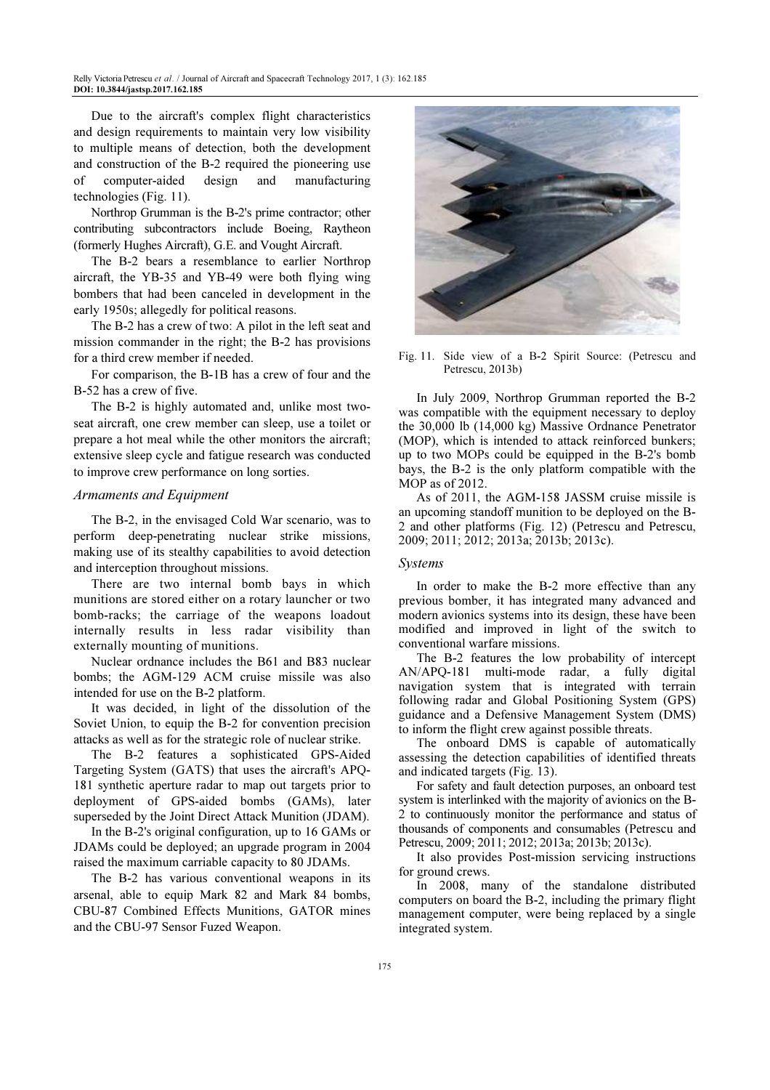Due to the aircraft's complex flight characteristics and design requirements to maintain very low visibility to multiple means of detection, both the development and construction of the B-2 required the pioneering use of computer-aided design and manufacturing technologies (Fig. 11).

Northrop Grumman is the B-2's prime contractor; other contributing subcontractors include Boeing, Raytheon (formerly Hughes Aircraft), G.E. and Vought Aircraft.

The B-2 bears a resemblance to earlier Northrop aircraft, the YB-35 and YB-49 were both flying wing bombers that had been canceled in development in the early 1950s; allegedly for political reasons.

The B-2 has a crew of two: A pilot in the left seat and mission commander in the right; the B-2 has provisions for a third crew member if needed.

For comparison, the B-1B has a crew of four and the B-52 has a crew of five.

The B-2 is highly automated and, unlike most twoseat aircraft, one crew member can sleep, use a toilet or prepare a hot meal while the other monitors the aircraft; extensive sleep cycle and fatigue research was conducted to improve crew performance on long sorties.

#### Armaments and Equipment

The B-2, in the envisaged Cold War scenario, was to perform deep-penetrating nuclear strike missions, making use of its stealthy capabilities to avoid detection and interception throughout missions.

There are two internal bomb bays in which munitions are stored either on a rotary launcher or two bomb-racks; the carriage of the weapons loadout internally results in less radar visibility than externally mounting of munitions.

Nuclear ordnance includes the B61 and B83 nuclear bombs; the AGM-129 ACM cruise missile was also intended for use on the B-2 platform.

It was decided, in light of the dissolution of the Soviet Union, to equip the B-2 for convention precision attacks as well as for the strategic role of nuclear strike.

The B-2 features a sophisticated GPS-Aided Targeting System (GATS) that uses the aircraft's APQ-181 synthetic aperture radar to map out targets prior to deployment of GPS-aided bombs (GAMs), later superseded by the Joint Direct Attack Munition (JDAM).

In the B-2's original configuration, up to 16 GAMs or JDAMs could be deployed; an upgrade program in 2004 raised the maximum carriable capacity to 80 JDAMs.

The B-2 has various conventional weapons in its arsenal, able to equip Mark 82 and Mark 84 bombs, CBU-87 Combined Effects Munitions, GATOR mines and the CBU-97 Sensor Fuzed Weapon.



Fig. 11. Side view of a B-2 Spirit Source: (Petrescu and Petrescu, 2013b)

In July 2009, Northrop Grumman reported the B-2 was compatible with the equipment necessary to deploy the 30,000 lb (14,000 kg) Massive Ordnance Penetrator (MOP), which is intended to attack reinforced bunkers; up to two MOPs could be equipped in the B-2's bomb bays, the B-2 is the only platform compatible with the MOP as of 2012.

As of 2011, the AGM-158 JASSM cruise missile is an upcoming standoff munition to be deployed on the B-2 and other platforms (Fig. 12) (Petrescu and Petrescu, 2009; 2011; 2012; 2013a; 2013b; 2013c).

# Systems

In order to make the B-2 more effective than any previous bomber, it has integrated many advanced and modern avionics systems into its design, these have been modified and improved in light of the switch to conventional warfare missions.

The B-2 features the low probability of intercept AN/APQ-181 multi-mode radar, a fully digital navigation system that is integrated with terrain following radar and Global Positioning System (GPS) guidance and a Defensive Management System (DMS) to inform the flight crew against possible threats.

The onboard DMS is capable of automatically assessing the detection capabilities of identified threats and indicated targets (Fig. 13).

For safety and fault detection purposes, an onboard test system is interlinked with the majority of avionics on the B-2 to continuously monitor the performance and status of thousands of components and consumables (Petrescu and Petrescu, 2009; 2011; 2012; 2013a; 2013b; 2013c).

It also provides Post-mission servicing instructions for ground crews.

In 2008, many of the standalone distributed computers on board the B-2, including the primary flight management computer, were being replaced by a single integrated system.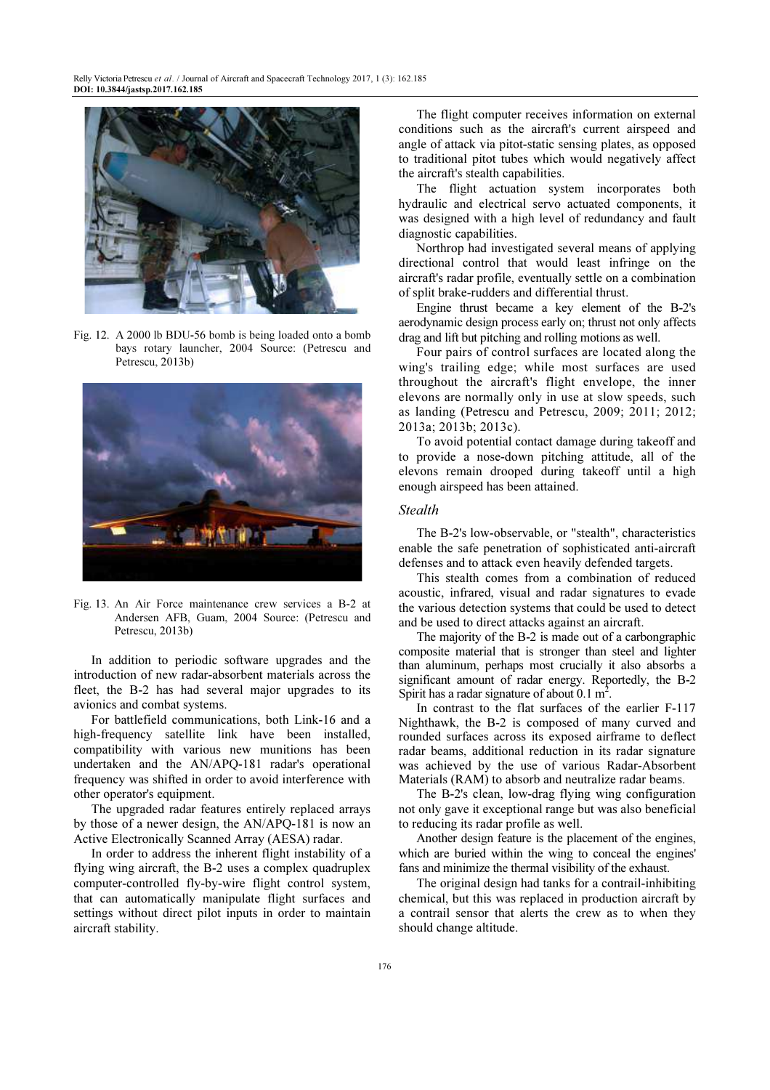

Fig. 12. A 2000 lb BDU-56 bomb is being loaded onto a bomb bays rotary launcher, 2004 Source: (Petrescu and Petrescu, 2013b)



Fig. 13. An Air Force maintenance crew services a B-2 at Andersen AFB, Guam, 2004 Source: (Petrescu and Petrescu, 2013b)

In addition to periodic software upgrades and the introduction of new radar-absorbent materials across the fleet, the B-2 has had several major upgrades to its avionics and combat systems.

For battlefield communications, both Link-16 and a high-frequency satellite link have been installed, compatibility with various new munitions has been undertaken and the AN/APQ-181 radar's operational frequency was shifted in order to avoid interference with other operator's equipment.

The upgraded radar features entirely replaced arrays by those of a newer design, the AN/APQ-181 is now an Active Electronically Scanned Array (AESA) radar.

In order to address the inherent flight instability of a flying wing aircraft, the B-2 uses a complex quadruplex computer-controlled fly-by-wire flight control system, that can automatically manipulate flight surfaces and settings without direct pilot inputs in order to maintain aircraft stability.

The flight computer receives information on external conditions such as the aircraft's current airspeed and angle of attack via pitot-static sensing plates, as opposed to traditional pitot tubes which would negatively affect the aircraft's stealth capabilities.

The flight actuation system incorporates both hydraulic and electrical servo actuated components, it was designed with a high level of redundancy and fault diagnostic capabilities.

Northrop had investigated several means of applying directional control that would least infringe on the aircraft's radar profile, eventually settle on a combination of split brake-rudders and differential thrust.

Engine thrust became a key element of the B-2's aerodynamic design process early on; thrust not only affects drag and lift but pitching and rolling motions as well.

Four pairs of control surfaces are located along the wing's trailing edge; while most surfaces are used throughout the aircraft's flight envelope, the inner elevons are normally only in use at slow speeds, such as landing (Petrescu and Petrescu, 2009; 2011; 2012; 2013a; 2013b; 2013c).

To avoid potential contact damage during takeoff and to provide a nose-down pitching attitude, all of the elevons remain drooped during takeoff until a high enough airspeed has been attained.

# **Stealth**

The B-2's low-observable, or "stealth", characteristics enable the safe penetration of sophisticated anti-aircraft defenses and to attack even heavily defended targets.

This stealth comes from a combination of reduced acoustic, infrared, visual and radar signatures to evade the various detection systems that could be used to detect and be used to direct attacks against an aircraft.

The majority of the B-2 is made out of a carbongraphic composite material that is stronger than steel and lighter than aluminum, perhaps most crucially it also absorbs a significant amount of radar energy. Reportedly, the B-2 Spirit has a radar signature of about 0.1 m<sup>2</sup>.

In contrast to the flat surfaces of the earlier F-117 Nighthawk, the B-2 is composed of many curved and rounded surfaces across its exposed airframe to deflect radar beams, additional reduction in its radar signature was achieved by the use of various Radar-Absorbent Materials (RAM) to absorb and neutralize radar beams.

The B-2's clean, low-drag flying wing configuration not only gave it exceptional range but was also beneficial to reducing its radar profile as well.

Another design feature is the placement of the engines, which are buried within the wing to conceal the engines' fans and minimize the thermal visibility of the exhaust.

The original design had tanks for a contrail-inhibiting chemical, but this was replaced in production aircraft by a contrail sensor that alerts the crew as to when they should change altitude.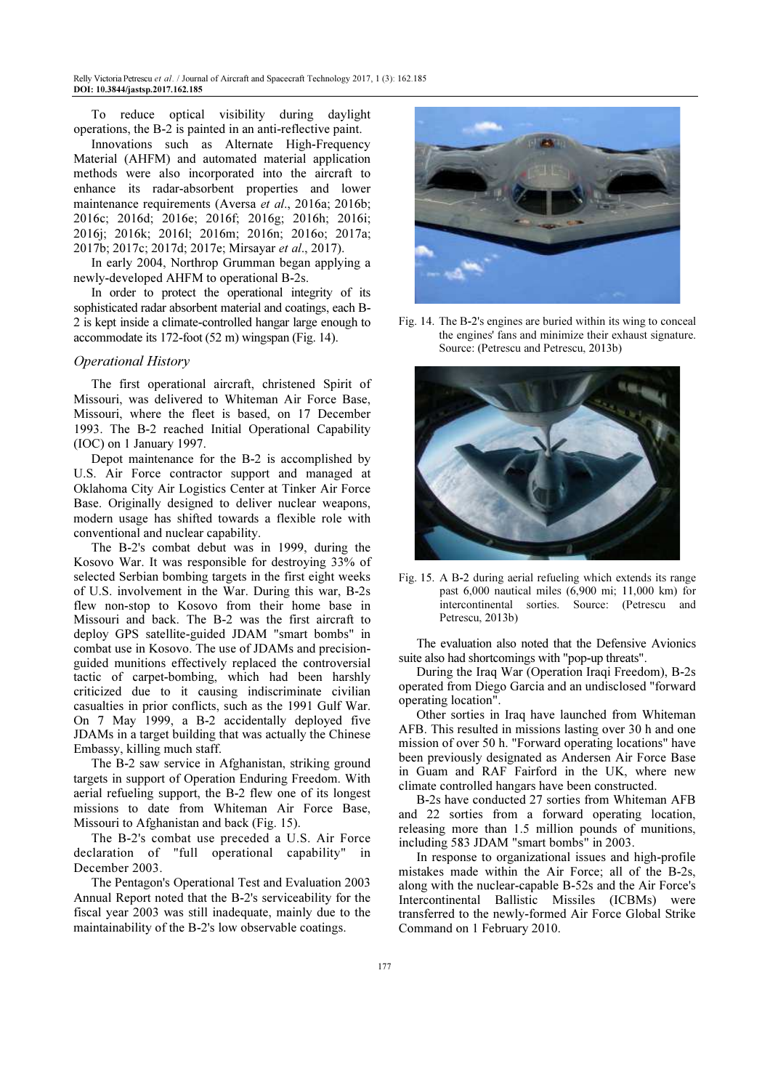To reduce optical visibility during daylight operations, the B-2 is painted in an anti-reflective paint.

Innovations such as Alternate High-Frequency Material (AHFM) and automated material application methods were also incorporated into the aircraft to enhance its radar-absorbent properties and lower maintenance requirements (Aversa et al., 2016a; 2016b; 2016c; 2016d; 2016e; 2016f; 2016g; 2016h; 2016i; 2016j; 2016k; 2016l; 2016m; 2016n; 2016o; 2017a; 2017b; 2017c; 2017d; 2017e; Mirsayar et al., 2017).

In early 2004, Northrop Grumman began applying a newly-developed AHFM to operational B-2s.

In order to protect the operational integrity of its sophisticated radar absorbent material and coatings, each B-2 is kept inside a climate-controlled hangar large enough to accommodate its 172-foot (52 m) wingspan (Fig. 14).

#### Operational History

The first operational aircraft, christened Spirit of Missouri, was delivered to Whiteman Air Force Base, Missouri, where the fleet is based, on 17 December 1993. The B-2 reached Initial Operational Capability (IOC) on 1 January 1997.

Depot maintenance for the B-2 is accomplished by U.S. Air Force contractor support and managed at Oklahoma City Air Logistics Center at Tinker Air Force Base. Originally designed to deliver nuclear weapons, modern usage has shifted towards a flexible role with conventional and nuclear capability.

The B-2's combat debut was in 1999, during the Kosovo War. It was responsible for destroying 33% of selected Serbian bombing targets in the first eight weeks of U.S. involvement in the War. During this war, B-2s flew non-stop to Kosovo from their home base in Missouri and back. The B-2 was the first aircraft to deploy GPS satellite-guided JDAM "smart bombs" in combat use in Kosovo. The use of JDAMs and precisionguided munitions effectively replaced the controversial tactic of carpet-bombing, which had been harshly criticized due to it causing indiscriminate civilian casualties in prior conflicts, such as the 1991 Gulf War. On 7 May 1999, a B-2 accidentally deployed five JDAMs in a target building that was actually the Chinese Embassy, killing much staff.

The B-2 saw service in Afghanistan, striking ground targets in support of Operation Enduring Freedom. With aerial refueling support, the B-2 flew one of its longest missions to date from Whiteman Air Force Base, Missouri to Afghanistan and back (Fig. 15).

The B-2's combat use preceded a U.S. Air Force declaration of "full operational capability" in December 2003.

The Pentagon's Operational Test and Evaluation 2003 Annual Report noted that the B-2's serviceability for the fiscal year 2003 was still inadequate, mainly due to the maintainability of the B-2's low observable coatings.



Fig. 14. The B-2's engines are buried within its wing to conceal the engines' fans and minimize their exhaust signature. Source: (Petrescu and Petrescu, 2013b)



Fig. 15. A B-2 during aerial refueling which extends its range past 6,000 nautical miles (6,900 mi; 11,000 km) for intercontinental sorties. Source: (Petrescu and Petrescu, 2013b)

The evaluation also noted that the Defensive Avionics suite also had shortcomings with "pop-up threats".

During the Iraq War (Operation Iraqi Freedom), B-2s operated from Diego Garcia and an undisclosed "forward operating location".

Other sorties in Iraq have launched from Whiteman AFB. This resulted in missions lasting over 30 h and one mission of over 50 h. "Forward operating locations" have been previously designated as Andersen Air Force Base in Guam and RAF Fairford in the UK, where new climate controlled hangars have been constructed.

B-2s have conducted 27 sorties from Whiteman AFB and 22 sorties from a forward operating location, releasing more than 1.5 million pounds of munitions, including 583 JDAM "smart bombs" in 2003.

In response to organizational issues and high-profile mistakes made within the Air Force; all of the B-2s, along with the nuclear-capable B-52s and the Air Force's Intercontinental Ballistic Missiles (ICBMs) were transferred to the newly-formed Air Force Global Strike Command on 1 February 2010.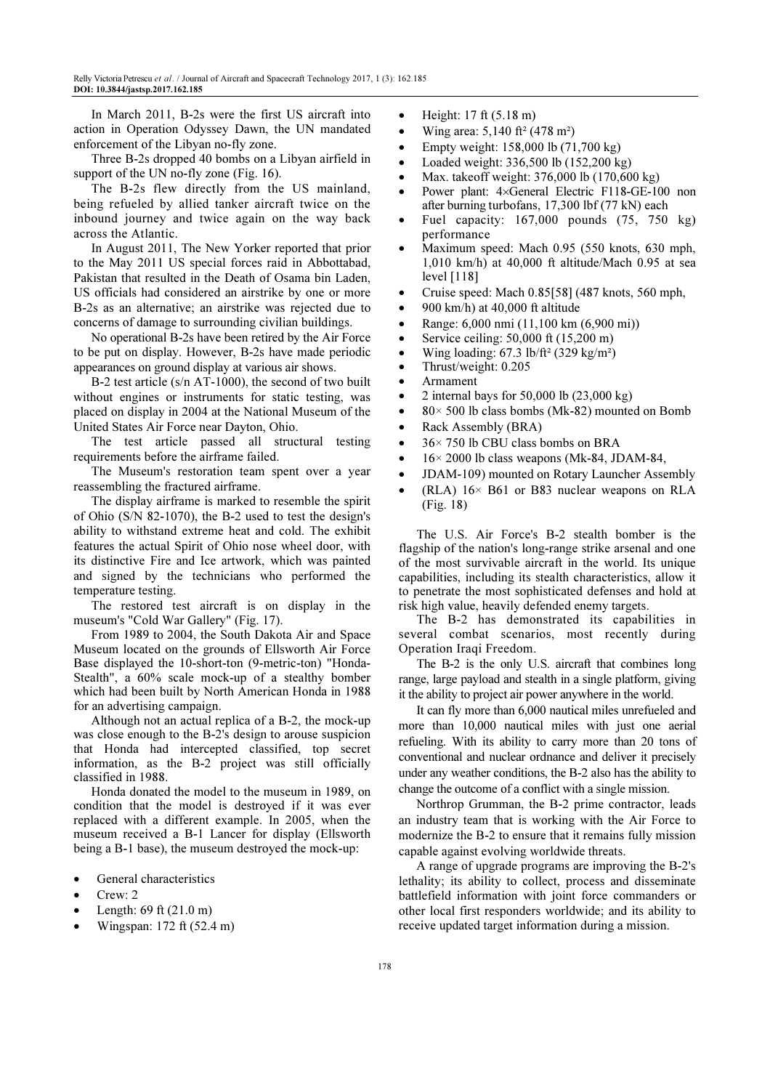In March 2011, B-2s were the first US aircraft into action in Operation Odyssey Dawn, the UN mandated enforcement of the Libyan no-fly zone.

Three B-2s dropped 40 bombs on a Libyan airfield in support of the UN no-fly zone (Fig. 16).

The B-2s flew directly from the US mainland, being refueled by allied tanker aircraft twice on the inbound journey and twice again on the way back across the Atlantic.

In August 2011, The New Yorker reported that prior to the May 2011 US special forces raid in Abbottabad, Pakistan that resulted in the Death of Osama bin Laden, US officials had considered an airstrike by one or more B-2s as an alternative; an airstrike was rejected due to concerns of damage to surrounding civilian buildings.

No operational B-2s have been retired by the Air Force to be put on display. However, B-2s have made periodic appearances on ground display at various air shows.

B-2 test article (s/n AT-1000), the second of two built without engines or instruments for static testing, was placed on display in 2004 at the National Museum of the United States Air Force near Dayton, Ohio.

The test article passed all structural testing requirements before the airframe failed.

The Museum's restoration team spent over a year reassembling the fractured airframe.

The display airframe is marked to resemble the spirit of Ohio (S/N 82-1070), the B-2 used to test the design's ability to withstand extreme heat and cold. The exhibit features the actual Spirit of Ohio nose wheel door, with its distinctive Fire and Ice artwork, which was painted and signed by the technicians who performed the temperature testing.

The restored test aircraft is on display in the museum's "Cold War Gallery" (Fig. 17).

From 1989 to 2004, the South Dakota Air and Space Museum located on the grounds of Ellsworth Air Force Base displayed the 10-short-ton (9-metric-ton) "Honda-Stealth", a 60% scale mock-up of a stealthy bomber which had been built by North American Honda in 1988 for an advertising campaign.

Although not an actual replica of a B-2, the mock-up was close enough to the B-2's design to arouse suspicion that Honda had intercepted classified, top secret information, as the B-2 project was still officially classified in 1988.

Honda donated the model to the museum in 1989, on condition that the model is destroyed if it was ever replaced with a different example. In 2005, when the museum received a B-1 Lancer for display (Ellsworth being a B-1 base), the museum destroyed the mock-up:

- General characteristics
- Crew: 2
- Length: 69 ft (21.0 m)
- Wingspan: 172 ft (52.4 m)
- Height: 17 ft (5.18 m)
- Wing area: 5,140 ft² (478 m²)
- Empty weight: 158,000 lb (71,700 kg)
- Loaded weight: 336,500 lb (152,200 kg)
- Max. takeoff weight: 376,000 lb (170,600 kg)
- Power plant: 4×General Electric F118-GE-100 non after burning turbofans, 17,300 lbf (77 kN) each
- Fuel capacity:  $167,000$  pounds  $(75, 750 \text{ kg})$ performance
- Maximum speed: Mach 0.95 (550 knots, 630 mph, 1,010 km/h) at 40,000 ft altitude/Mach 0.95 at sea level [118]
- Cruise speed: Mach 0.85[58] (487 knots, 560 mph,
- 900 km/h) at  $40,000$  ft altitude
- Range: 6,000 nmi (11,100 km (6,900 mi))
- Service ceiling:  $50,000$  ft  $(15,200 \text{ m})$
- Wing loading:  $67.3$  lb/ft<sup>2</sup> (329 kg/m<sup>2</sup>)
- Thrust/weight: 0.205
- Armament
- 2 internal bays for  $50,000$  lb  $(23,000 \text{ kg})$
- 80 $\times$  500 lb class bombs (Mk-82) mounted on Bomb
- Rack Assembly (BRA)
- $\bullet$  36 × 750 lb CBU class bombs on BRA
- $16 \times 2000$  lb class weapons (Mk-84, JDAM-84,
- JDAM-109) mounted on Rotary Launcher Assembly
- $(RLA)$  16× B61 or B83 nuclear weapons on RLA (Fig. 18)

The U.S. Air Force's B-2 stealth bomber is the flagship of the nation's long-range strike arsenal and one of the most survivable aircraft in the world. Its unique capabilities, including its stealth characteristics, allow it to penetrate the most sophisticated defenses and hold at risk high value, heavily defended enemy targets.

The B-2 has demonstrated its capabilities in several combat scenarios, most recently during Operation Iraqi Freedom.

The B-2 is the only U.S. aircraft that combines long range, large payload and stealth in a single platform, giving it the ability to project air power anywhere in the world.

It can fly more than 6,000 nautical miles unrefueled and more than 10,000 nautical miles with just one aerial refueling. With its ability to carry more than 20 tons of conventional and nuclear ordnance and deliver it precisely under any weather conditions, the B-2 also has the ability to change the outcome of a conflict with a single mission.

Northrop Grumman, the B-2 prime contractor, leads an industry team that is working with the Air Force to modernize the B-2 to ensure that it remains fully mission capable against evolving worldwide threats.

A range of upgrade programs are improving the B-2's lethality; its ability to collect, process and disseminate battlefield information with joint force commanders or other local first responders worldwide; and its ability to receive updated target information during a mission.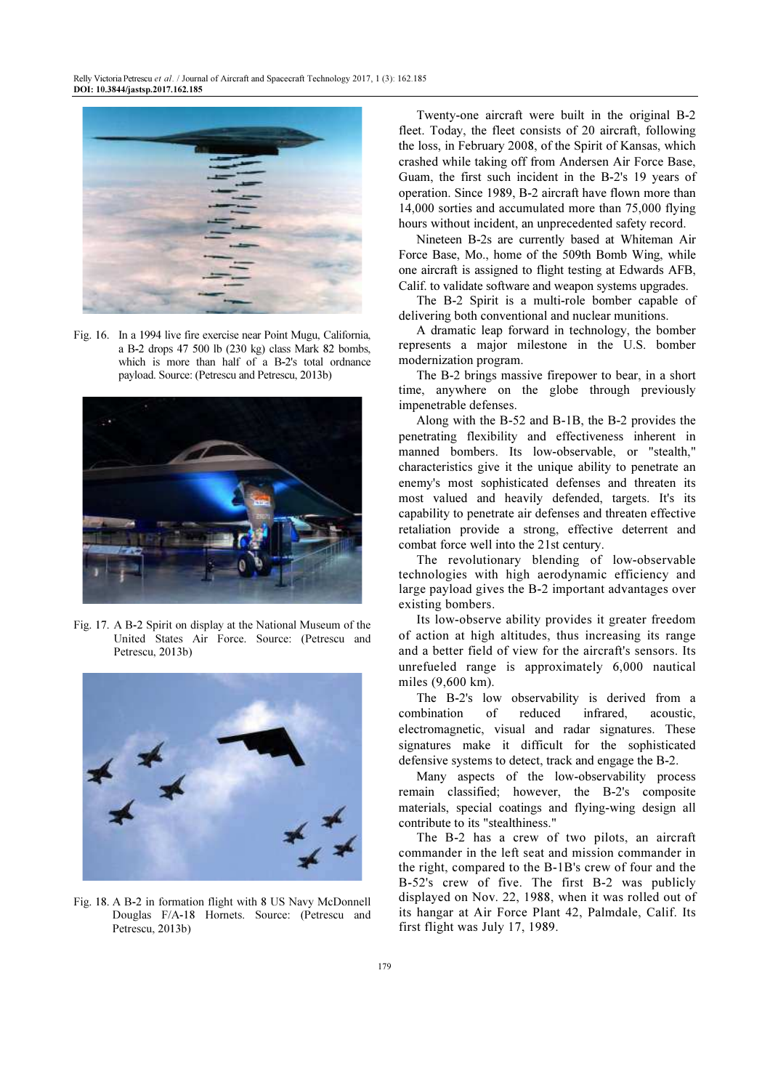

Fig. 16. In a 1994 live fire exercise near Point Mugu, California, a B-2 drops 47 500 lb (230 kg) class Mark 82 bombs, which is more than half of a B-2's total ordnance payload. Source: (Petrescu and Petrescu, 2013b)



Fig. 17. A B-2 Spirit on display at the National Museum of the United States Air Force. Source: (Petrescu and Petrescu, 2013b)



Fig. 18. A B-2 in formation flight with 8 US Navy McDonnell Douglas F/A-18 Hornets. Source: (Petrescu and Petrescu, 2013b)

Twenty-one aircraft were built in the original B-2 fleet. Today, the fleet consists of 20 aircraft, following the loss, in February 2008, of the Spirit of Kansas, which crashed while taking off from Andersen Air Force Base, Guam, the first such incident in the B-2's 19 years of operation. Since 1989, B-2 aircraft have flown more than 14,000 sorties and accumulated more than 75,000 flying hours without incident, an unprecedented safety record.

Nineteen B-2s are currently based at Whiteman Air Force Base, Mo., home of the 509th Bomb Wing, while one aircraft is assigned to flight testing at Edwards AFB, Calif. to validate software and weapon systems upgrades.

The B-2 Spirit is a multi-role bomber capable of delivering both conventional and nuclear munitions.

A dramatic leap forward in technology, the bomber represents a major milestone in the U.S. bomber modernization program.

The B-2 brings massive firepower to bear, in a short time, anywhere on the globe through previously impenetrable defenses.

Along with the B-52 and B-1B, the B-2 provides the penetrating flexibility and effectiveness inherent in manned bombers. Its low-observable, or "stealth," characteristics give it the unique ability to penetrate an enemy's most sophisticated defenses and threaten its most valued and heavily defended, targets. It's its capability to penetrate air defenses and threaten effective retaliation provide a strong, effective deterrent and combat force well into the 21st century.

The revolutionary blending of low-observable technologies with high aerodynamic efficiency and large payload gives the B-2 important advantages over existing bombers.

Its low-observe ability provides it greater freedom of action at high altitudes, thus increasing its range and a better field of view for the aircraft's sensors. Its unrefueled range is approximately 6,000 nautical miles (9,600 km).

The B-2's low observability is derived from a combination of reduced infrared, acoustic, electromagnetic, visual and radar signatures. These signatures make it difficult for the sophisticated defensive systems to detect, track and engage the B-2.

Many aspects of the low-observability process remain classified; however, the B-2's composite materials, special coatings and flying-wing design all contribute to its "stealthiness."

The B-2 has a crew of two pilots, an aircraft commander in the left seat and mission commander in the right, compared to the B-1B's crew of four and the B-52's crew of five. The first B-2 was publicly displayed on Nov. 22, 1988, when it was rolled out of its hangar at Air Force Plant 42, Palmdale, Calif. Its first flight was July 17, 1989.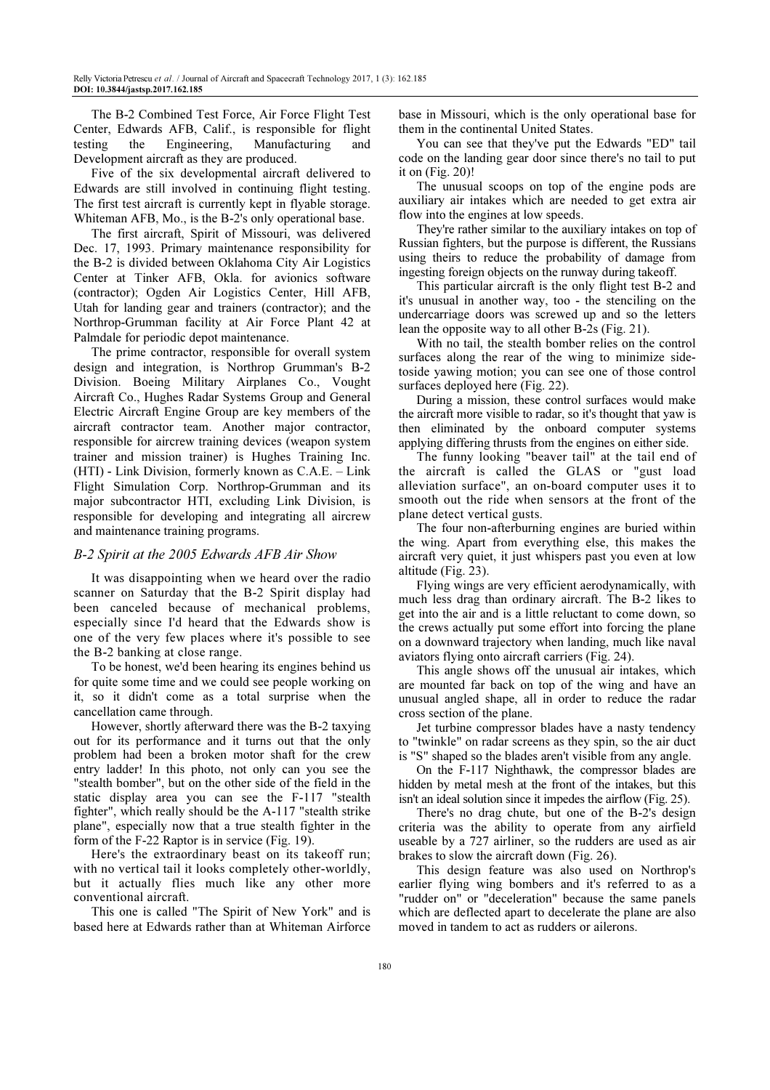The B-2 Combined Test Force, Air Force Flight Test Center, Edwards AFB, Calif., is responsible for flight testing the Engineering, Manufacturing and Development aircraft as they are produced.

Five of the six developmental aircraft delivered to Edwards are still involved in continuing flight testing. The first test aircraft is currently kept in flyable storage. Whiteman AFB, Mo., is the B-2's only operational base.

The first aircraft, Spirit of Missouri, was delivered Dec. 17, 1993. Primary maintenance responsibility for the B-2 is divided between Oklahoma City Air Logistics Center at Tinker AFB, Okla. for avionics software (contractor); Ogden Air Logistics Center, Hill AFB, Utah for landing gear and trainers (contractor); and the Northrop-Grumman facility at Air Force Plant 42 at Palmdale for periodic depot maintenance.

The prime contractor, responsible for overall system design and integration, is Northrop Grumman's B-2 Division. Boeing Military Airplanes Co., Vought Aircraft Co., Hughes Radar Systems Group and General Electric Aircraft Engine Group are key members of the aircraft contractor team. Another major contractor, responsible for aircrew training devices (weapon system trainer and mission trainer) is Hughes Training Inc. (HTI) - Link Division, formerly known as C.A.E. – Link Flight Simulation Corp. Northrop-Grumman and its major subcontractor HTI, excluding Link Division, is responsible for developing and integrating all aircrew and maintenance training programs.

# B-2 Spirit at the 2005 Edwards AFB Air Show

It was disappointing when we heard over the radio scanner on Saturday that the B-2 Spirit display had been canceled because of mechanical problems, especially since I'd heard that the Edwards show is one of the very few places where it's possible to see the B-2 banking at close range.

To be honest, we'd been hearing its engines behind us for quite some time and we could see people working on it, so it didn't come as a total surprise when the cancellation came through.

However, shortly afterward there was the B-2 taxying out for its performance and it turns out that the only problem had been a broken motor shaft for the crew entry ladder! In this photo, not only can you see the "stealth bomber", but on the other side of the field in the static display area you can see the F-117 "stealth fighter", which really should be the A-117 "stealth strike plane", especially now that a true stealth fighter in the form of the F-22 Raptor is in service (Fig. 19).

Here's the extraordinary beast on its takeoff run; with no vertical tail it looks completely other-worldly, but it actually flies much like any other more conventional aircraft.

This one is called "The Spirit of New York" and is based here at Edwards rather than at Whiteman Airforce base in Missouri, which is the only operational base for them in the continental United States.

You can see that they've put the Edwards "ED" tail code on the landing gear door since there's no tail to put it on (Fig. 20)!

The unusual scoops on top of the engine pods are auxiliary air intakes which are needed to get extra air flow into the engines at low speeds.

They're rather similar to the auxiliary intakes on top of Russian fighters, but the purpose is different, the Russians using theirs to reduce the probability of damage from ingesting foreign objects on the runway during takeoff.

This particular aircraft is the only flight test B-2 and it's unusual in another way, too - the stenciling on the undercarriage doors was screwed up and so the letters lean the opposite way to all other B-2s (Fig. 21).

With no tail, the stealth bomber relies on the control surfaces along the rear of the wing to minimize sidetoside yawing motion; you can see one of those control surfaces deployed here (Fig. 22).

During a mission, these control surfaces would make the aircraft more visible to radar, so it's thought that yaw is then eliminated by the onboard computer systems applying differing thrusts from the engines on either side.

The funny looking "beaver tail" at the tail end of the aircraft is called the GLAS or "gust load alleviation surface", an on-board computer uses it to smooth out the ride when sensors at the front of the plane detect vertical gusts.

The four non-afterburning engines are buried within the wing. Apart from everything else, this makes the aircraft very quiet, it just whispers past you even at low altitude (Fig. 23).

Flying wings are very efficient aerodynamically, with much less drag than ordinary aircraft. The B-2 likes to get into the air and is a little reluctant to come down, so the crews actually put some effort into forcing the plane on a downward trajectory when landing, much like naval aviators flying onto aircraft carriers (Fig. 24).

This angle shows off the unusual air intakes, which are mounted far back on top of the wing and have an unusual angled shape, all in order to reduce the radar cross section of the plane.

Jet turbine compressor blades have a nasty tendency to "twinkle" on radar screens as they spin, so the air duct is "S" shaped so the blades aren't visible from any angle.

On the F-117 Nighthawk, the compressor blades are hidden by metal mesh at the front of the intakes, but this isn't an ideal solution since it impedes the airflow (Fig. 25).

There's no drag chute, but one of the B-2's design criteria was the ability to operate from any airfield useable by a 727 airliner, so the rudders are used as air brakes to slow the aircraft down (Fig. 26).

This design feature was also used on Northrop's earlier flying wing bombers and it's referred to as a "rudder on" or "deceleration" because the same panels which are deflected apart to decelerate the plane are also moved in tandem to act as rudders or ailerons.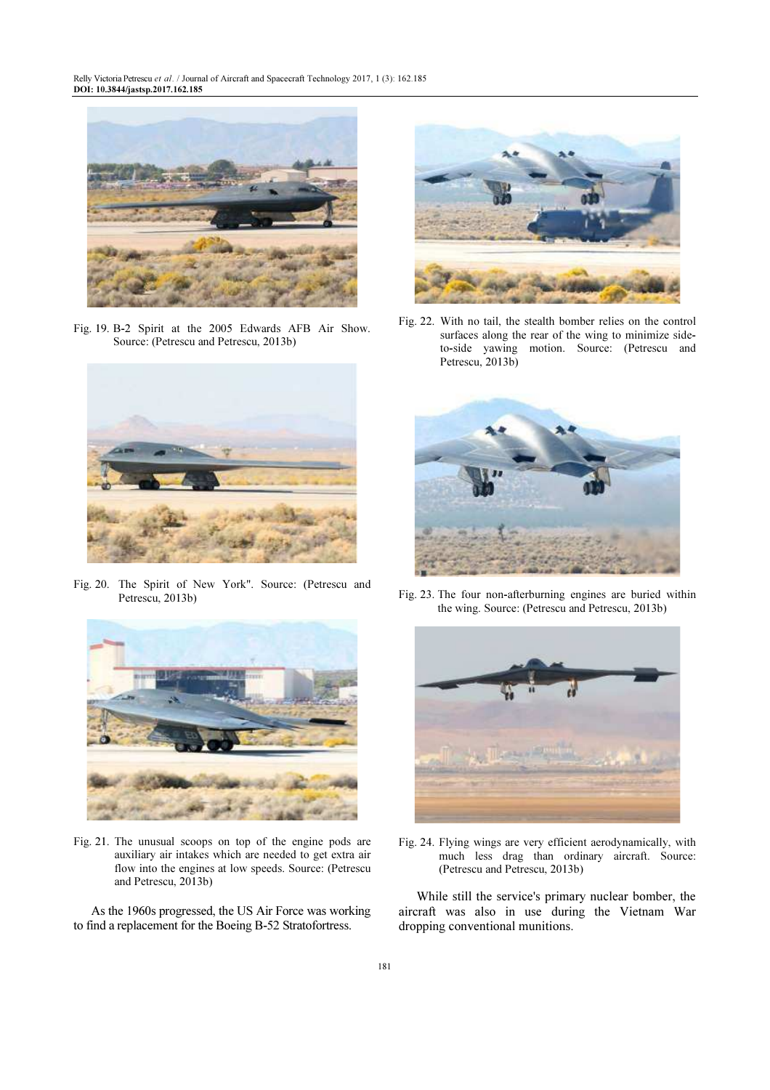Relly Victoria Petrescu et al. / Journal of Aircraft and Spacecraft Technology 2017, 1 (3): 162.185 DOI: 10.3844/jastsp.2017.162.185



Fig. 19. B-2 Spirit at the 2005 Edwards AFB Air Show. Source: (Petrescu and Petrescu, 2013b)



Fig. 20. The Spirit of New York". Source: (Petrescu and Petrescu, 2013b)



Fig. 21. The unusual scoops on top of the engine pods are auxiliary air intakes which are needed to get extra air flow into the engines at low speeds. Source: (Petrescu and Petrescu, 2013b)

As the 1960s progressed, the US Air Force was working to find a replacement for the Boeing B-52 Stratofortress.



Fig. 22. With no tail, the stealth bomber relies on the control surfaces along the rear of the wing to minimize sideto-side yawing motion. Source: (Petrescu and Petrescu, 2013b)



Fig. 23. The four non-afterburning engines are buried within the wing. Source: (Petrescu and Petrescu, 2013b)



Fig. 24. Flying wings are very efficient aerodynamically, with much less drag than ordinary aircraft. Source: (Petrescu and Petrescu, 2013b)

While still the service's primary nuclear bomber, the aircraft was also in use during the Vietnam War dropping conventional munitions.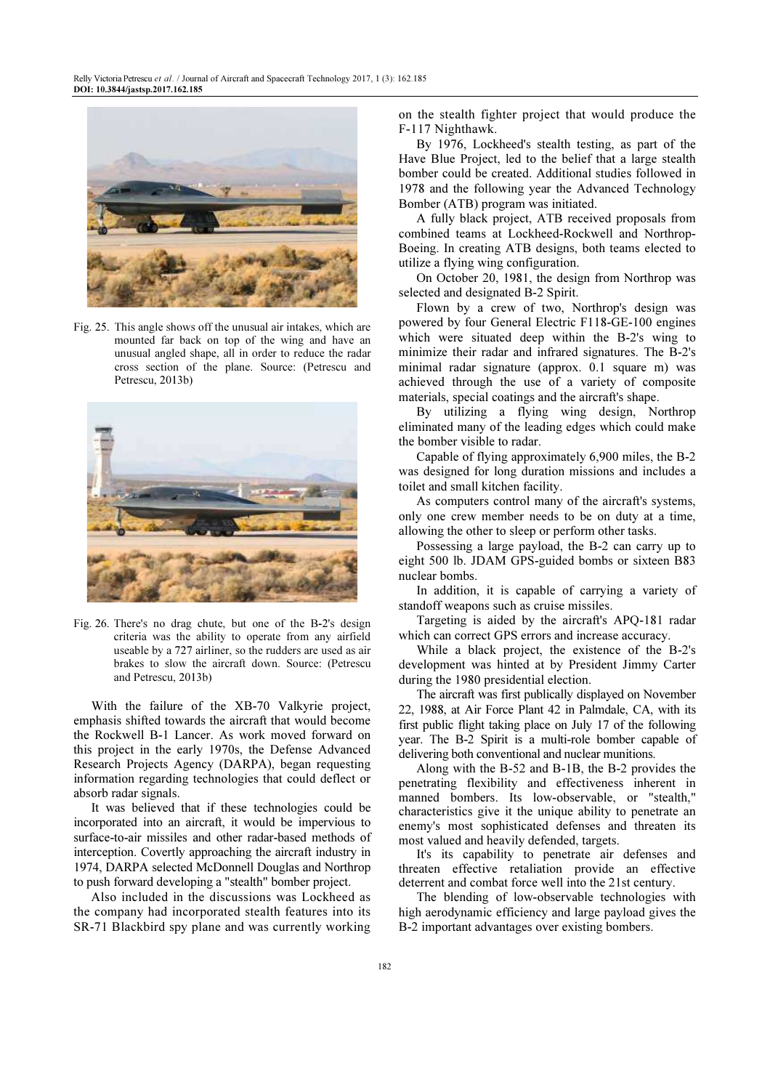

Fig. 25. This angle shows off the unusual air intakes, which are mounted far back on top of the wing and have an unusual angled shape, all in order to reduce the radar cross section of the plane. Source: (Petrescu and Petrescu, 2013b)



Fig. 26. There's no drag chute, but one of the B-2's design criteria was the ability to operate from any airfield useable by a 727 airliner, so the rudders are used as air brakes to slow the aircraft down. Source: (Petrescu and Petrescu, 2013b)

With the failure of the XB-70 Valkyrie project, emphasis shifted towards the aircraft that would become the Rockwell B-1 Lancer. As work moved forward on this project in the early 1970s, the Defense Advanced Research Projects Agency (DARPA), began requesting information regarding technologies that could deflect or absorb radar signals.

It was believed that if these technologies could be incorporated into an aircraft, it would be impervious to surface-to-air missiles and other radar-based methods of interception. Covertly approaching the aircraft industry in 1974, DARPA selected McDonnell Douglas and Northrop to push forward developing a "stealth" bomber project.

Also included in the discussions was Lockheed as the company had incorporated stealth features into its SR-71 Blackbird spy plane and was currently working

on the stealth fighter project that would produce the F-117 Nighthawk.

By 1976, Lockheed's stealth testing, as part of the Have Blue Project, led to the belief that a large stealth bomber could be created. Additional studies followed in 1978 and the following year the Advanced Technology Bomber (ATB) program was initiated.

A fully black project, ATB received proposals from combined teams at Lockheed-Rockwell and Northrop-Boeing. In creating ATB designs, both teams elected to utilize a flying wing configuration.

On October 20, 1981, the design from Northrop was selected and designated B-2 Spirit.

Flown by a crew of two, Northrop's design was powered by four General Electric F118-GE-100 engines which were situated deep within the B-2's wing to minimize their radar and infrared signatures. The B-2's minimal radar signature (approx. 0.1 square m) was achieved through the use of a variety of composite materials, special coatings and the aircraft's shape.

By utilizing a flying wing design, Northrop eliminated many of the leading edges which could make the bomber visible to radar.

Capable of flying approximately 6,900 miles, the B-2 was designed for long duration missions and includes a toilet and small kitchen facility.

As computers control many of the aircraft's systems, only one crew member needs to be on duty at a time, allowing the other to sleep or perform other tasks.

Possessing a large payload, the B-2 can carry up to eight 500 lb. JDAM GPS-guided bombs or sixteen B83 nuclear bombs.

In addition, it is capable of carrying a variety of standoff weapons such as cruise missiles.

Targeting is aided by the aircraft's APQ-181 radar which can correct GPS errors and increase accuracy.

While a black project, the existence of the B-2's development was hinted at by President Jimmy Carter during the 1980 presidential election.

The aircraft was first publically displayed on November 22, 1988, at Air Force Plant 42 in Palmdale, CA, with its first public flight taking place on July 17 of the following year. The B-2 Spirit is a multi-role bomber capable of delivering both conventional and nuclear munitions.

Along with the B-52 and B-1B, the B-2 provides the penetrating flexibility and effectiveness inherent in manned bombers. Its low-observable, or "stealth," characteristics give it the unique ability to penetrate an enemy's most sophisticated defenses and threaten its most valued and heavily defended, targets.

It's its capability to penetrate air defenses and threaten effective retaliation provide an effective deterrent and combat force well into the 21st century.

The blending of low-observable technologies with high aerodynamic efficiency and large payload gives the B-2 important advantages over existing bombers.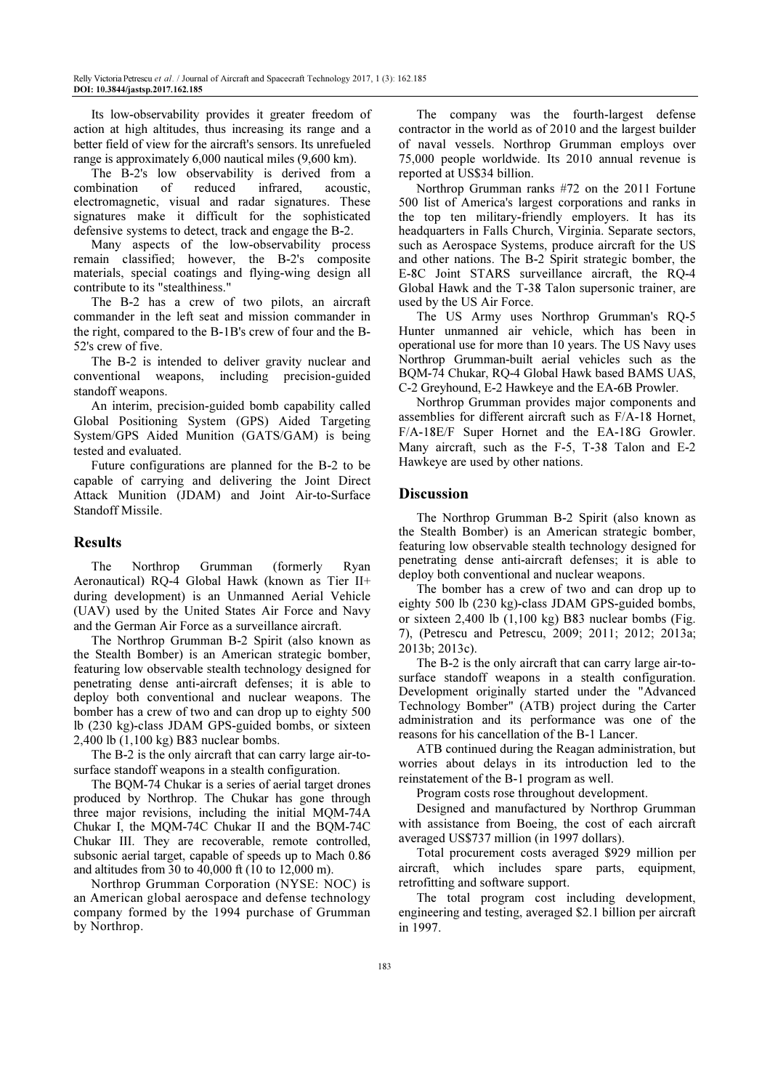Its low-observability provides it greater freedom of action at high altitudes, thus increasing its range and a better field of view for the aircraft's sensors. Its unrefueled range is approximately 6,000 nautical miles (9,600 km).

The B-2's low observability is derived from a combination of reduced infrared, acoustic, electromagnetic, visual and radar signatures. These signatures make it difficult for the sophisticated defensive systems to detect, track and engage the B-2.

Many aspects of the low-observability process remain classified; however, the B-2's composite materials, special coatings and flying-wing design all contribute to its "stealthiness."

The B-2 has a crew of two pilots, an aircraft commander in the left seat and mission commander in the right, compared to the B-1B's crew of four and the B-52's crew of five.

The B-2 is intended to deliver gravity nuclear and conventional weapons, including precision-guided standoff weapons.

An interim, precision-guided bomb capability called Global Positioning System (GPS) Aided Targeting System/GPS Aided Munition (GATS/GAM) is being tested and evaluated.

Future configurations are planned for the B-2 to be capable of carrying and delivering the Joint Direct Attack Munition (JDAM) and Joint Air-to-Surface Standoff Missile.

# Results

The Northrop Grumman (formerly Ryan Aeronautical) RQ-4 Global Hawk (known as Tier II+ during development) is an Unmanned Aerial Vehicle (UAV) used by the United States Air Force and Navy and the German Air Force as a surveillance aircraft.

The Northrop Grumman B-2 Spirit (also known as the Stealth Bomber) is an American strategic bomber, featuring low observable stealth technology designed for penetrating dense anti-aircraft defenses; it is able to deploy both conventional and nuclear weapons. The bomber has a crew of two and can drop up to eighty 500 lb (230 kg)-class JDAM GPS-guided bombs, or sixteen 2,400 lb (1,100 kg) B83 nuclear bombs.

The B-2 is the only aircraft that can carry large air-tosurface standoff weapons in a stealth configuration.

The BQM-74 Chukar is a series of aerial target drones produced by Northrop. The Chukar has gone through three major revisions, including the initial MQM-74A Chukar I, the MQM-74C Chukar II and the BQM-74C Chukar III. They are recoverable, remote controlled, subsonic aerial target, capable of speeds up to Mach 0.86 and altitudes from 30 to 40,000 ft (10 to 12,000 m).

Northrop Grumman Corporation (NYSE: NOC) is an American global aerospace and defense technology company formed by the 1994 purchase of Grumman by Northrop.

The company was the fourth-largest defense contractor in the world as of 2010 and the largest builder of naval vessels. Northrop Grumman employs over 75,000 people worldwide. Its 2010 annual revenue is reported at US\$34 billion.

Northrop Grumman ranks #72 on the 2011 Fortune 500 list of America's largest corporations and ranks in the top ten military-friendly employers. It has its headquarters in Falls Church, Virginia. Separate sectors, such as Aerospace Systems, produce aircraft for the US and other nations. The B-2 Spirit strategic bomber, the E-8C Joint STARS surveillance aircraft, the RQ-4 Global Hawk and the T-38 Talon supersonic trainer, are used by the US Air Force.

The US Army uses Northrop Grumman's RQ-5 Hunter unmanned air vehicle, which has been in operational use for more than 10 years. The US Navy uses Northrop Grumman-built aerial vehicles such as the BQM-74 Chukar, RQ-4 Global Hawk based BAMS UAS, C-2 Greyhound, E-2 Hawkeye and the EA-6B Prowler.

Northrop Grumman provides major components and assemblies for different aircraft such as F/A-18 Hornet, F/A-18E/F Super Hornet and the EA-18G Growler. Many aircraft, such as the F-5, T-38 Talon and E-2 Hawkeye are used by other nations.

# **Discussion**

The Northrop Grumman B-2 Spirit (also known as the Stealth Bomber) is an American strategic bomber, featuring low observable stealth technology designed for penetrating dense anti-aircraft defenses; it is able to deploy both conventional and nuclear weapons.

The bomber has a crew of two and can drop up to eighty 500 lb (230 kg)-class JDAM GPS-guided bombs, or sixteen 2,400 lb (1,100 kg) B83 nuclear bombs (Fig. 7), (Petrescu and Petrescu, 2009; 2011; 2012; 2013a; 2013b; 2013c).

The B-2 is the only aircraft that can carry large air-tosurface standoff weapons in a stealth configuration. Development originally started under the "Advanced Technology Bomber" (ATB) project during the Carter administration and its performance was one of the reasons for his cancellation of the B-1 Lancer.

ATB continued during the Reagan administration, but worries about delays in its introduction led to the reinstatement of the B-1 program as well.

Program costs rose throughout development.

Designed and manufactured by Northrop Grumman with assistance from Boeing, the cost of each aircraft averaged US\$737 million (in 1997 dollars).

Total procurement costs averaged \$929 million per aircraft, which includes spare parts, equipment, retrofitting and software support.

The total program cost including development, engineering and testing, averaged \$2.1 billion per aircraft in 1997.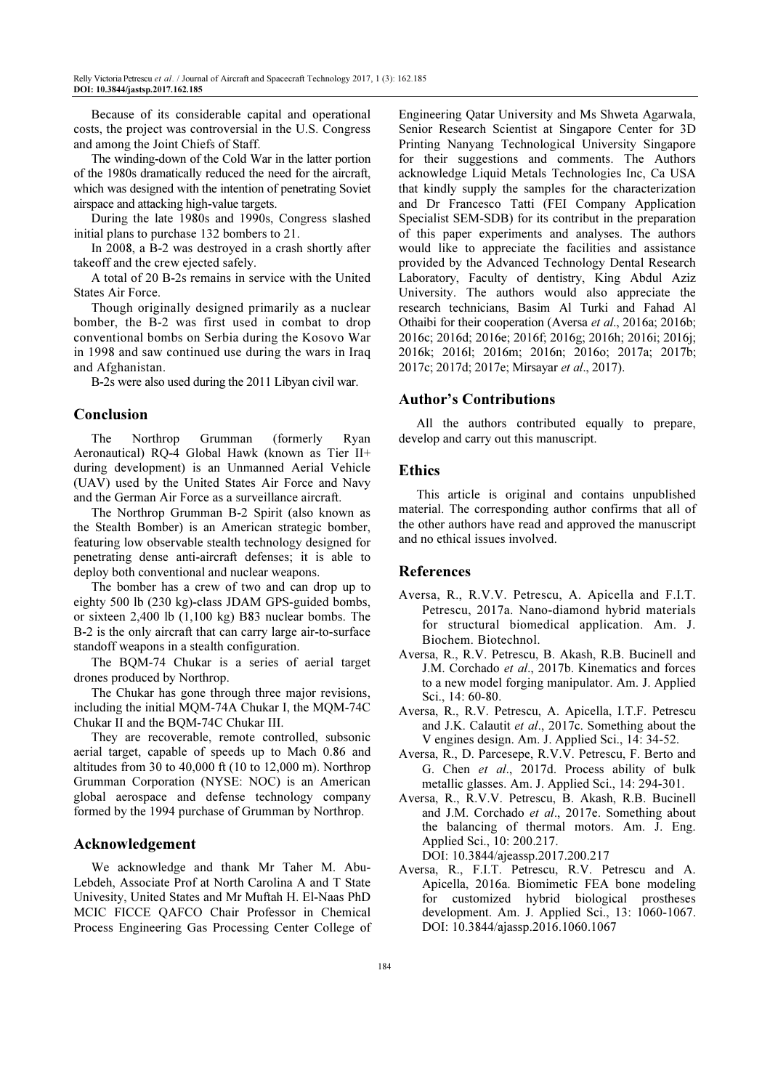Because of its considerable capital and operational costs, the project was controversial in the U.S. Congress and among the Joint Chiefs of Staff.

The winding-down of the Cold War in the latter portion of the 1980s dramatically reduced the need for the aircraft, which was designed with the intention of penetrating Soviet airspace and attacking high-value targets.

During the late 1980s and 1990s, Congress slashed initial plans to purchase 132 bombers to 21.

In 2008, a B-2 was destroyed in a crash shortly after takeoff and the crew ejected safely.

A total of 20 B-2s remains in service with the United States Air Force.

Though originally designed primarily as a nuclear bomber, the B-2 was first used in combat to drop conventional bombs on Serbia during the Kosovo War in 1998 and saw continued use during the wars in Iraq and Afghanistan.

B-2s were also used during the 2011 Libyan civil war.

# Conclusion

The Northrop Grumman (formerly Ryan Aeronautical) RQ-4 Global Hawk (known as Tier II+ during development) is an Unmanned Aerial Vehicle (UAV) used by the United States Air Force and Navy and the German Air Force as a surveillance aircraft.

The Northrop Grumman B-2 Spirit (also known as the Stealth Bomber) is an American strategic bomber, featuring low observable stealth technology designed for penetrating dense anti-aircraft defenses; it is able to deploy both conventional and nuclear weapons.

The bomber has a crew of two and can drop up to eighty 500 lb (230 kg)-class JDAM GPS-guided bombs, or sixteen 2,400 lb (1,100 kg) B83 nuclear bombs. The B-2 is the only aircraft that can carry large air-to-surface standoff weapons in a stealth configuration.

The BQM-74 Chukar is a series of aerial target drones produced by Northrop.

The Chukar has gone through three major revisions, including the initial MQM-74A Chukar I, the MQM-74C Chukar II and the BQM-74C Chukar III.

They are recoverable, remote controlled, subsonic aerial target, capable of speeds up to Mach 0.86 and altitudes from 30 to 40,000 ft (10 to 12,000 m). Northrop Grumman Corporation (NYSE: NOC) is an American global aerospace and defense technology company formed by the 1994 purchase of Grumman by Northrop.

# Acknowledgement

We acknowledge and thank Mr Taher M. Abu-Lebdeh, Associate Prof at North Carolina A and T State Univesity, United States and Mr Muftah H. El-Naas PhD MCIC FICCE QAFCO Chair Professor in Chemical Process Engineering Gas Processing Center College of Engineering Qatar University and Ms Shweta Agarwala, Senior Research Scientist at Singapore Center for 3D Printing Nanyang Technological University Singapore for their suggestions and comments. The Authors acknowledge Liquid Metals Technologies Inc, Ca USA that kindly supply the samples for the characterization and Dr Francesco Tatti (FEI Company Application Specialist SEM-SDB) for its contribut in the preparation of this paper experiments and analyses. The authors would like to appreciate the facilities and assistance provided by the Advanced Technology Dental Research Laboratory, Faculty of dentistry, King Abdul Aziz University. The authors would also appreciate the research technicians, Basim Al Turki and Fahad Al Othaibi for their cooperation (Aversa et al., 2016a; 2016b; 2016c; 2016d; 2016e; 2016f; 2016g; 2016h; 2016i; 2016j; 2016k; 2016l; 2016m; 2016n; 2016o; 2017a; 2017b; 2017c; 2017d; 2017e; Mirsayar et al., 2017).

#### Author's Contributions

All the authors contributed equally to prepare, develop and carry out this manuscript.

#### Ethics

This article is original and contains unpublished material. The corresponding author confirms that all of the other authors have read and approved the manuscript and no ethical issues involved.

# References

- Aversa, R., R.V.V. Petrescu, A. Apicella and F.I.T. Petrescu, 2017a. Nano-diamond hybrid materials for structural biomedical application. Am. J. Biochem. Biotechnol.
- Aversa, R., R.V. Petrescu, B. Akash, R.B. Bucinell and J.M. Corchado et al., 2017b. Kinematics and forces to a new model forging manipulator. Am. J. Applied Sci., 14: 60-80.
- Aversa, R., R.V. Petrescu, A. Apicella, I.T.F. Petrescu and J.K. Calautit et al., 2017c. Something about the V engines design. Am. J. Applied Sci., 14: 34-52.
- Aversa, R., D. Parcesepe, R.V.V. Petrescu, F. Berto and G. Chen et al., 2017d. Process ability of bulk metallic glasses. Am. J. Applied Sci., 14: 294-301.
- Aversa, R., R.V.V. Petrescu, B. Akash, R.B. Bucinell and J.M. Corchado et al., 2017e. Something about the balancing of thermal motors. Am. J. Eng. Applied Sci., 10: 200.217.

DOI: 10.3844/ajeassp.2017.200.217

Aversa, R., F.I.T. Petrescu, R.V. Petrescu and A. Apicella, 2016a. Biomimetic FEA bone modeling for customized hybrid biological prostheses development. Am. J. Applied Sci., 13: 1060-1067. DOI: 10.3844/ajassp.2016.1060.1067